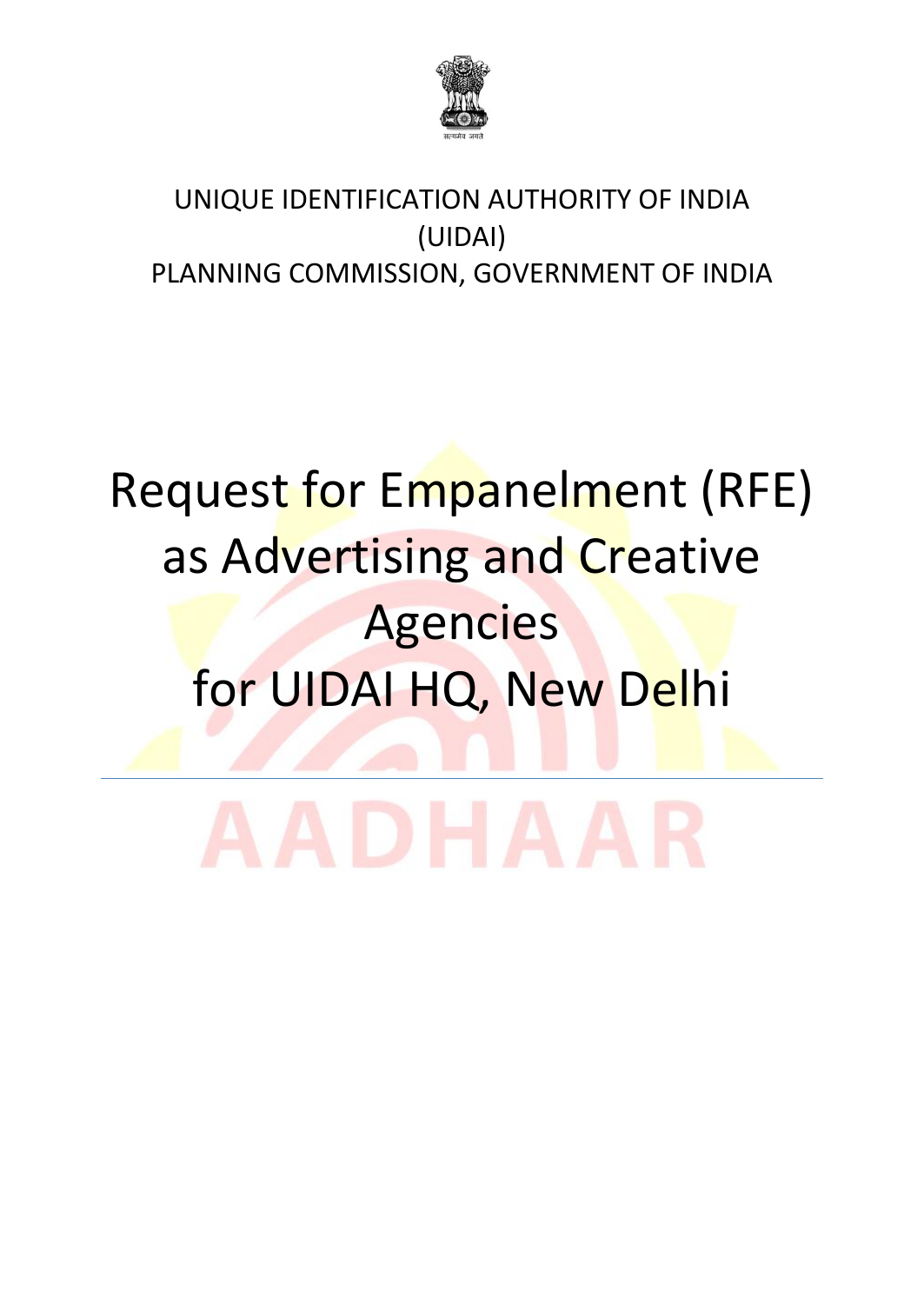

## UNIQUE IDENTIFICATION AUTHORITY OF INDIA (UIDAI) PLANNING COMMISSION, GOVERNMENT OF INDIA

# Request for Empanelment (RFE) as Advertising and Creative Agencies for UIDAI HQ, New Delhi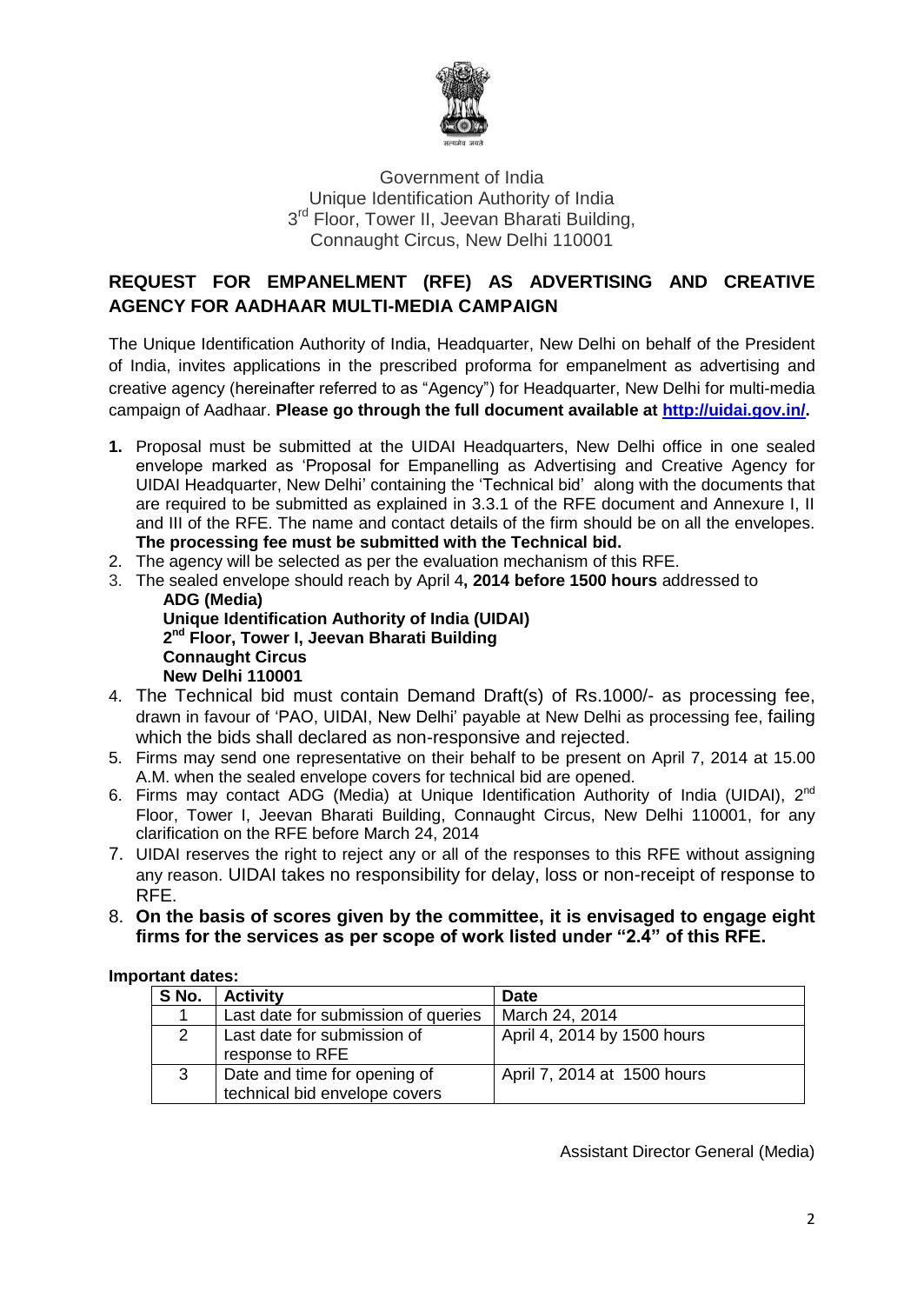

#### Government of India Unique Identification Authority of India 3<sup>rd</sup> Floor, Tower II, Jeevan Bharati Building, Connaught Circus, New Delhi 110001

#### **REQUEST FOR EMPANELMENT (RFE) AS ADVERTISING AND CREATIVE AGENCY FOR AADHAAR MULTI-MEDIA CAMPAIGN**

The Unique Identification Authority of India, Headquarter, New Delhi on behalf of the President of India, invites applications in the prescribed proforma for empanelment as advertising and creative agency (hereinafter referred to as "Agency") for Headquarter, New Delhi for multi-media campaign of Aadhaar. **Please go through the full document available at [http://uidai.gov.in/.](http://uidai.gov.in/)**

- **1.** Proposal must be submitted at the UIDAI Headquarters, New Delhi office in one sealed envelope marked as "Proposal for Empanelling as Advertising and Creative Agency for UIDAI Headquarter, New Delhi" containing the "Technical bid" along with the documents that are required to be submitted as explained in 3.3.1 of the RFE document and Annexure I, II and III of the RFE. The name and contact details of the firm should be on all the envelopes. **The processing fee must be submitted with the Technical bid.**
- 2. The agency will be selected as per the evaluation mechanism of this RFE.
- 3. The sealed envelope should reach by April 4**, 2014 before 1500 hours** addressed to **ADG (Media)**

**Unique Identification Authority of India (UIDAI) 2 nd Floor, Tower I, Jeevan Bharati Building Connaught Circus New Delhi 110001**

- 4. The Technical bid must contain Demand Draft(s) of Rs.1000/- as processing fee, drawn in favour of "PAO, UIDAI, New Delhi" payable at New Delhi as processing fee, failing which the bids shall declared as non-responsive and rejected.
- 5. Firms may send one representative on their behalf to be present on April 7, 2014 at 15.00 A.M. when the sealed envelope covers for technical bid are opened.
- 6. Firms may contact ADG (Media) at Unique Identification Authority of India (UIDAI), 2<sup>nd</sup> Floor, Tower I, Jeevan Bharati Building, Connaught Circus, New Delhi 110001, for any clarification on the RFE before March 24, 2014
- 7. UIDAI reserves the right to reject any or all of the responses to this RFE without assigning any reason. UIDAI takes no responsibility for delay, loss or non-receipt of response to RFE.
- 8. **On the basis of scores given by the committee, it is envisaged to engage eight firms for the services as per scope of work listed under "2.4" of this RFE.**

#### **Important dates:**

| S No. | <b>Activity</b>                                               | <b>Date</b>                 |
|-------|---------------------------------------------------------------|-----------------------------|
|       | Last date for submission of queries                           | March 24, 2014              |
|       | Last date for submission of<br>response to RFE                | April 4, 2014 by 1500 hours |
| 3     | Date and time for opening of<br>technical bid envelope covers | April 7, 2014 at 1500 hours |

Assistant Director General (Media)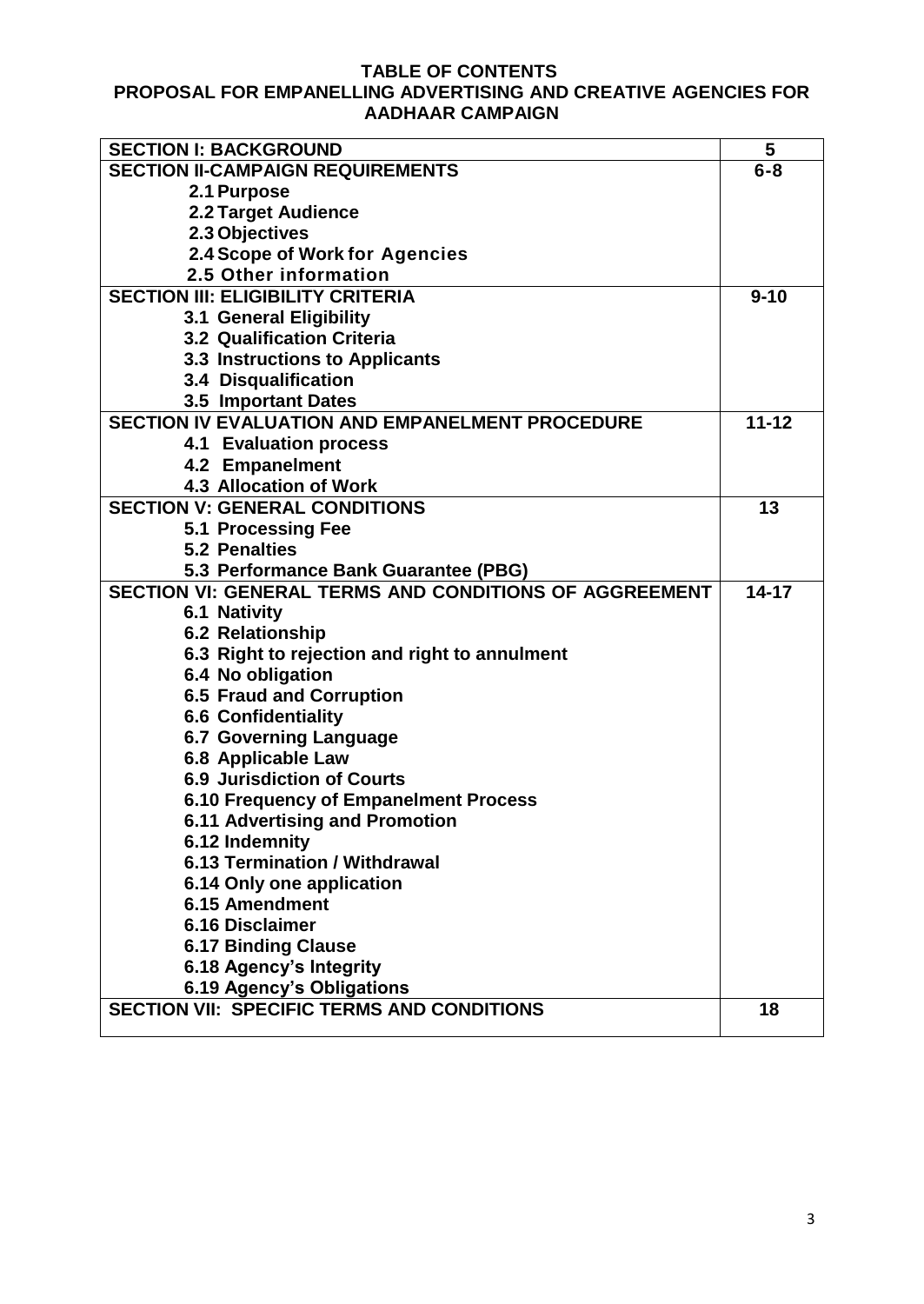### **TABLE OF CONTENTS**

#### **PROPOSAL FOR EMPANELLING ADVERTISING AND CREATIVE AGENCIES FOR AADHAAR CAMPAIGN**

| <b>SECTION I: BACKGROUND</b>                                  | 5         |
|---------------------------------------------------------------|-----------|
| <b>SECTION II-CAMPAIGN REQUIREMENTS</b>                       | $6 - 8$   |
| 2.1 Purpose                                                   |           |
| <b>2.2 Target Audience</b>                                    |           |
| 2.3 Objectives                                                |           |
| 2.4 Scope of Work for Agencies                                |           |
| 2.5 Other information                                         |           |
| <b>SECTION III: ELIGIBILITY CRITERIA</b>                      | $9 - 10$  |
| 3.1 General Eligibility                                       |           |
| <b>3.2 Qualification Criteria</b>                             |           |
| <b>3.3 Instructions to Applicants</b>                         |           |
| 3.4 Disqualification                                          |           |
| 3.5 Important Dates                                           |           |
| <b>SECTION IV EVALUATION AND EMPANELMENT PROCEDURE</b>        | $11 - 12$ |
| <b>4.1 Evaluation process</b>                                 |           |
| 4.2 Empanelment                                               |           |
| <b>4.3 Allocation of Work</b>                                 |           |
| <b>SECTION V: GENERAL CONDITIONS</b>                          | 13        |
| 5.1 Processing Fee                                            |           |
| <b>5.2 Penalties</b>                                          |           |
| 5.3 Performance Bank Guarantee (PBG)                          |           |
| <b>SECTION VI: GENERAL TERMS AND CONDITIONS OF AGGREEMENT</b> |           |
| <b>6.1 Nativity</b>                                           |           |
| <b>6.2 Relationship</b>                                       |           |
| 6.3 Right to rejection and right to annulment                 |           |
| 6.4 No obligation                                             |           |
| <b>6.5 Fraud and Corruption</b>                               |           |
| <b>6.6 Confidentiality</b>                                    |           |
| <b>6.7 Governing Language</b>                                 |           |
| 6.8 Applicable Law                                            |           |
| <b>6.9 Jurisdiction of Courts</b>                             |           |
| 6.10 Frequency of Empanelment Process                         |           |
| <b>6.11 Advertising and Promotion</b>                         |           |
| 6.12 Indemnity                                                |           |
| 6.13 Termination / Withdrawal                                 |           |
| 6.14 Only one application                                     |           |
| 6.15 Amendment                                                |           |
| <b>6.16 Disclaimer</b>                                        |           |
| <b>6.17 Binding Clause</b>                                    |           |
| 6.18 Agency's Integrity                                       |           |
| 6.19 Agency's Obligations                                     |           |
| <b>SECTION VII: SPECIFIC TERMS AND CONDITIONS</b>             | 18        |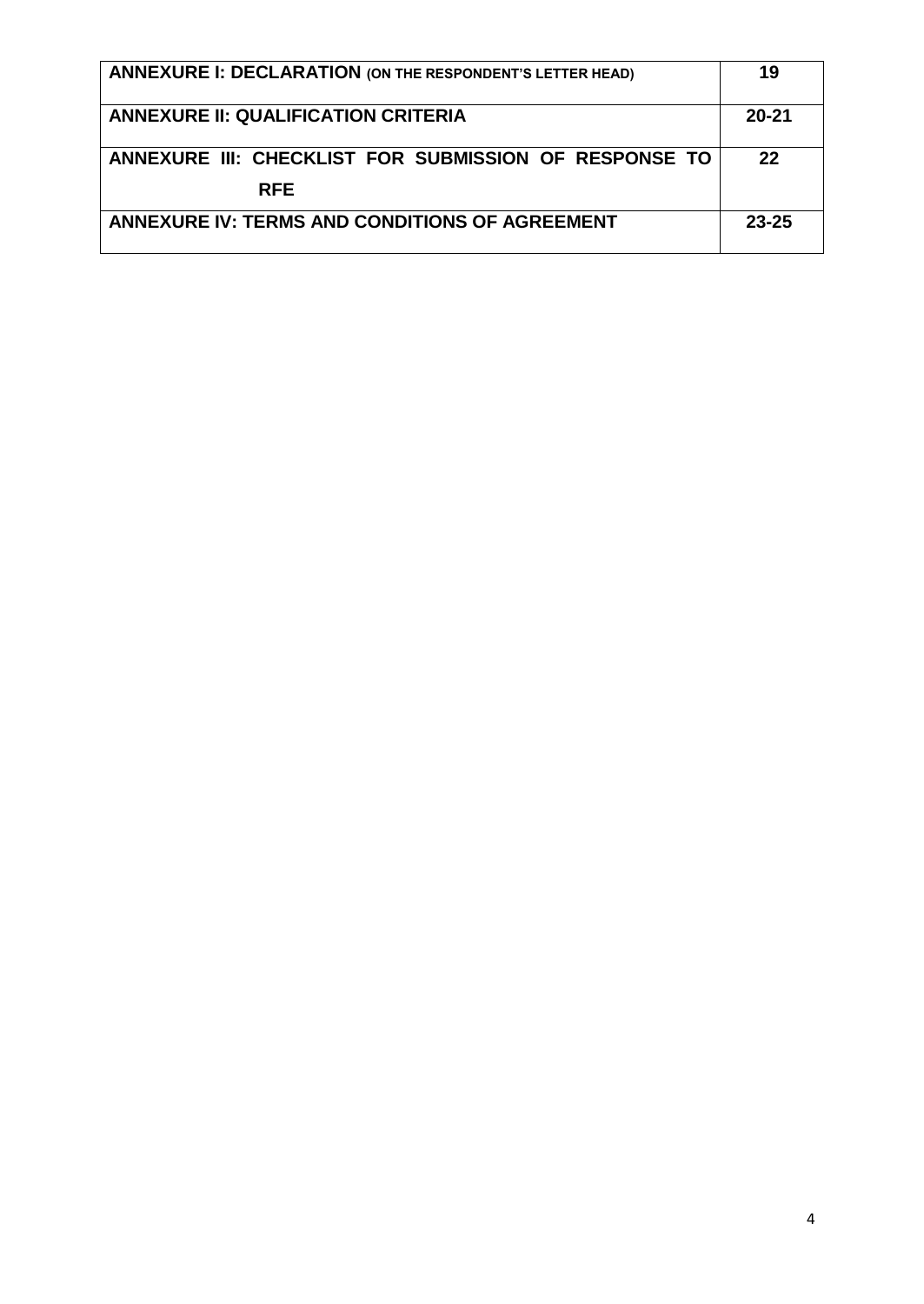| <b>ANNEXURE I: DECLARATION (ON THE RESPONDENT'S LETTER HEAD)</b>    |           |
|---------------------------------------------------------------------|-----------|
| <b>ANNEXURE II: QUALIFICATION CRITERIA</b>                          | $20 - 21$ |
| ANNEXURE III: CHECKLIST FOR SUBMISSION OF RESPONSE TO<br><b>RFE</b> | 22        |
| <b>ANNEXURE IV: TERMS AND CONDITIONS OF AGREEMENT</b>               |           |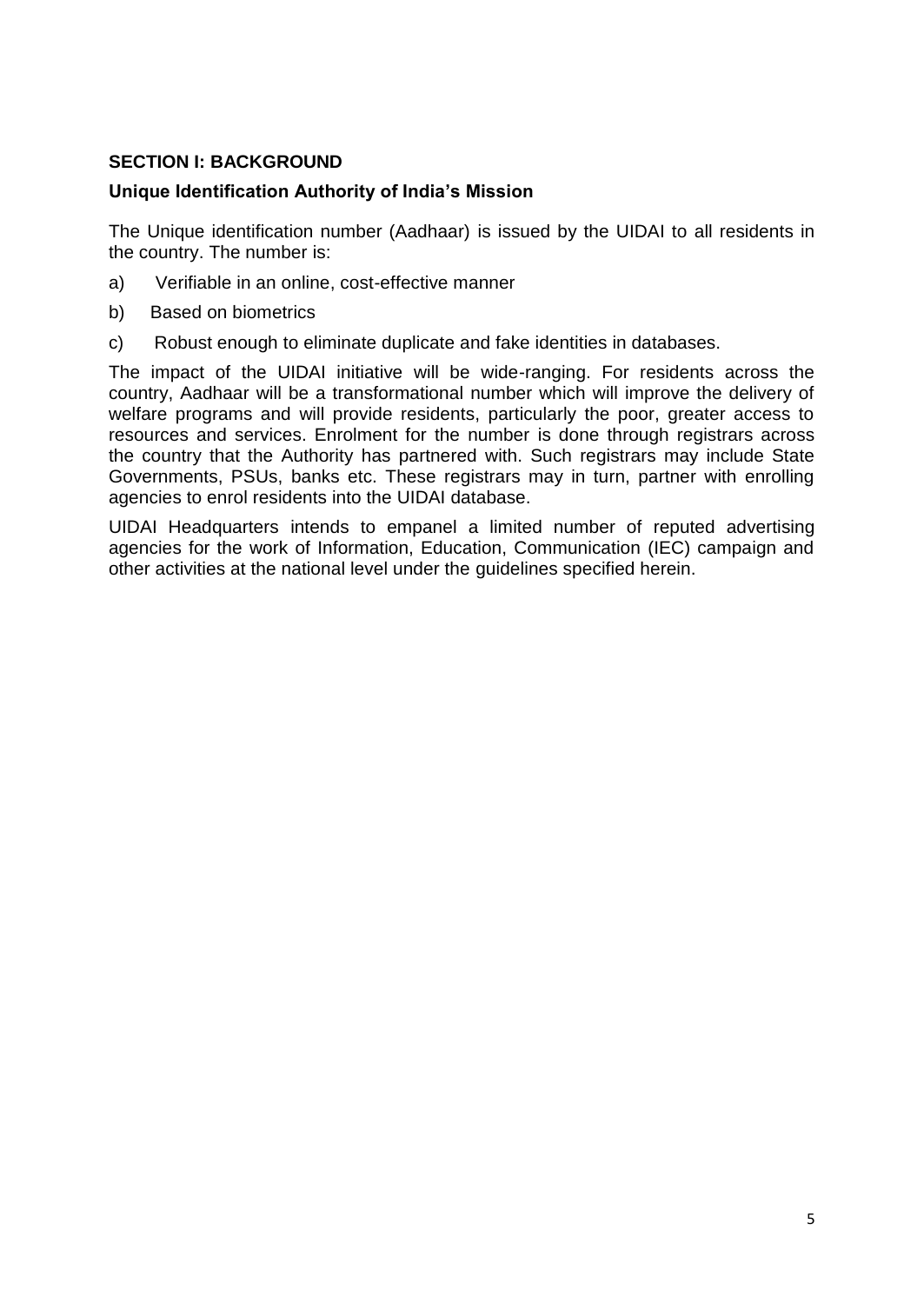#### **SECTION I: BACKGROUND**

#### **Unique Identification Authority of India"s Mission**

The Unique identification number (Aadhaar) is issued by the UIDAI to all residents in the country. The number is:

- a) Verifiable in an online, cost-effective manner
- b) Based on biometrics
- c) Robust enough to eliminate duplicate and fake identities in databases.

The impact of the UIDAI initiative will be wide-ranging. For residents across the country, Aadhaar will be a transformational number which will improve the delivery of welfare programs and will provide residents, particularly the poor, greater access to resources and services. Enrolment for the number is done through registrars across the country that the Authority has partnered with. Such registrars may include State Governments, PSUs, banks etc. These registrars may in turn, partner with enrolling agencies to enrol residents into the UIDAI database.

UIDAI Headquarters intends to empanel a limited number of reputed advertising agencies for the work of Information, Education, Communication (IEC) campaign and other activities at the national level under the guidelines specified herein.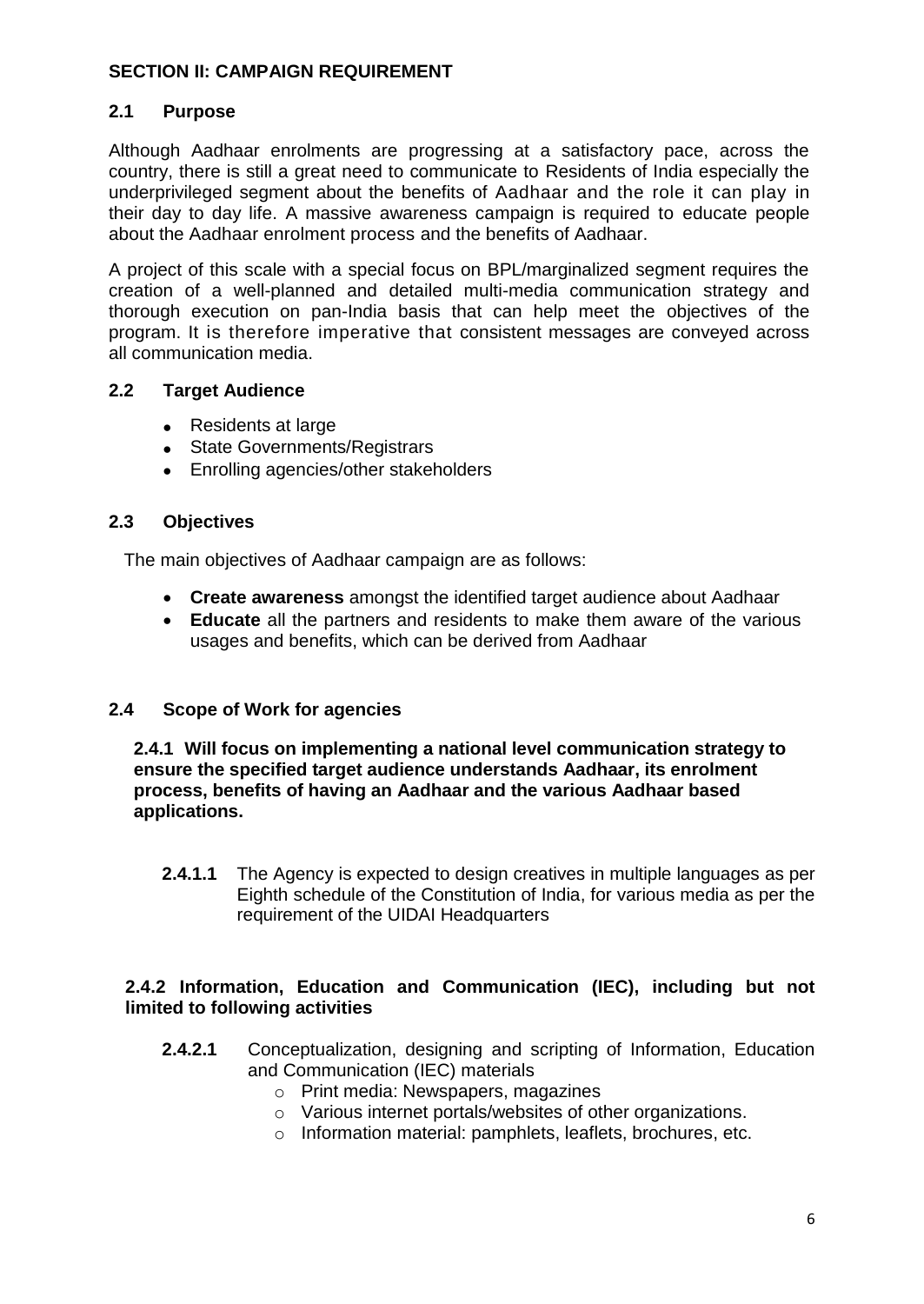#### **SECTION II: CAMPAIGN REQUIREMENT**

#### **2.1 Purpose**

Although Aadhaar enrolments are progressing at a satisfactory pace, across the country, there is still a great need to communicate to Residents of India especially the underprivileged segment about the benefits of Aadhaar and the role it can play in their day to day life. A massive awareness campaign is required to educate people about the Aadhaar enrolment process and the benefits of Aadhaar.

A project of this scale with a special focus on BPL/marginalized segment requires the creation of a well-planned and detailed multi-media communication strategy and thorough execution on pan-India basis that can help meet the objectives of the program. It is therefore imperative that consistent messages are conveyed across all communication media.

#### **2.2 Target Audience**

- Residents at large
- State Governments/Registrars
- Enrolling agencies/other stakeholders

#### **2.3 Objectives**

The main objectives of Aadhaar campaign are as follows:

- **Create awareness** amongst the identified target audience about Aadhaar
- **Educate** all the partners and residents to make them aware of the various usages and benefits, which can be derived from Aadhaar

#### **2.4 Scope of Work for agencies**

**2.4.1 Will focus on implementing a national level communication strategy to ensure the specified target audience understands Aadhaar, its enrolment process, benefits of having an Aadhaar and the various Aadhaar based applications.**

**2.4.1.1** The Agency is expected to design creatives in multiple languages as per Eighth schedule of the Constitution of India, for various media as per the requirement of the UIDAI Headquarters

#### **2.4.2 Information, Education and Communication (IEC), including but not limited to following activities**

- **2.4.2.1** Conceptualization, designing and scripting of Information, Education and Communication (IEC) materials
	- o Print media: Newspapers, magazines
	- o Various internet portals/websites of other organizations.
	- o Information material: pamphlets, leaflets, brochures, etc.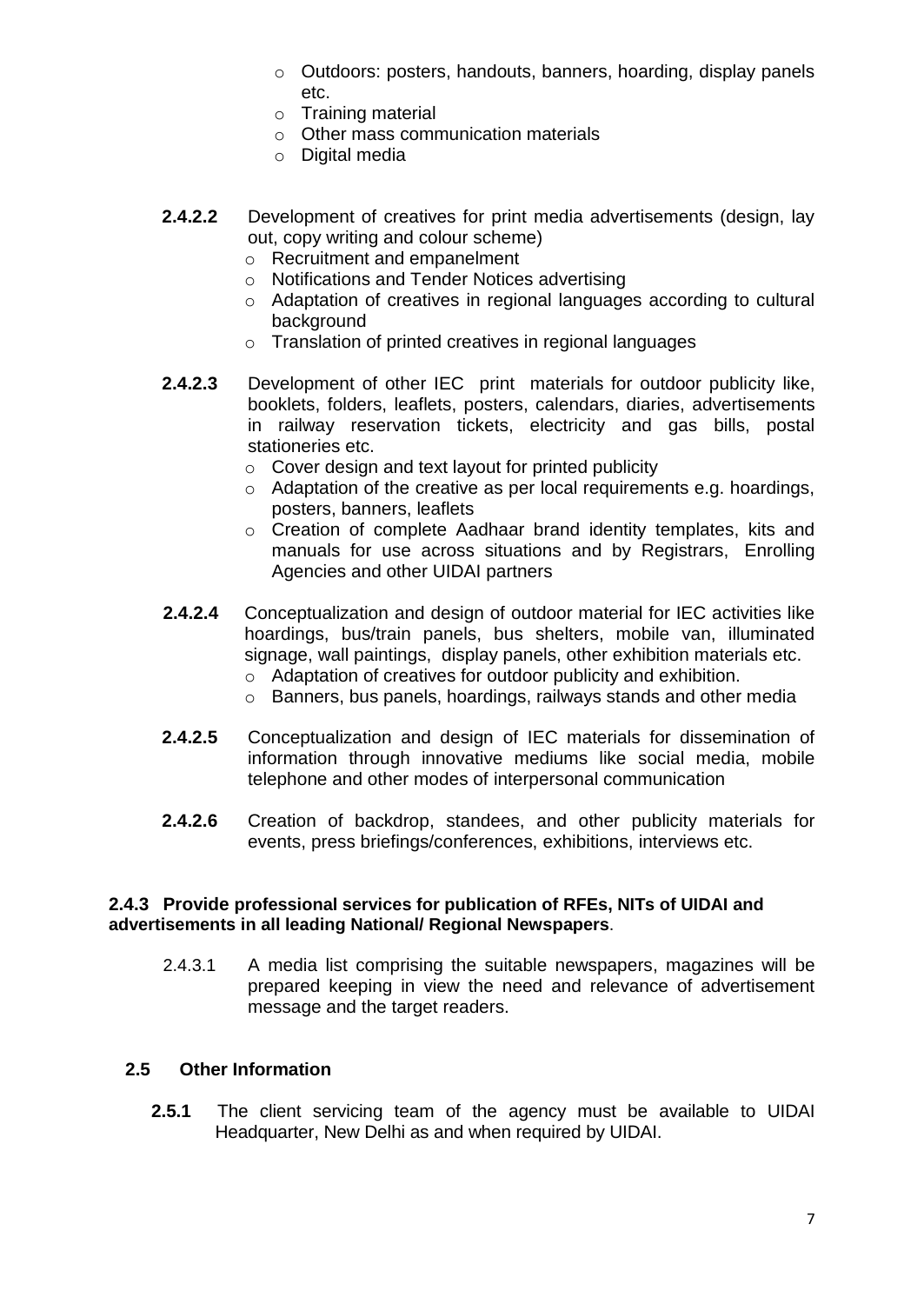- o Outdoors: posters, handouts, banners, hoarding, display panels etc.
- o Training material
- o Other mass communication materials
- o Digital media
- **2.4.2.2** Development of creatives for print media advertisements (design, lay out, copy writing and colour scheme)
	- o Recruitment and empanelment
	- o Notifications and Tender Notices advertising
	- o Adaptation of creatives in regional languages according to cultural background
	- o Translation of printed creatives in regional languages
- **2.4.2.3** Development of other IEC print materials for outdoor publicity like, booklets, folders, leaflets, posters, calendars, diaries, advertisements in railway reservation tickets, electricity and gas bills, postal stationeries etc.
	- $\circ$  Cover design and text layout for printed publicity
	- o Adaptation of the creative as per local requirements e.g. hoardings, posters, banners, leaflets
	- o Creation of complete Aadhaar brand identity templates, kits and manuals for use across situations and by Registrars, Enrolling Agencies and other UIDAI partners
- **2.4.2.4** Conceptualization and design of outdoor material for IEC activities like hoardings, bus/train panels, bus shelters, mobile van, illuminated signage, wall paintings, display panels, other exhibition materials etc.
	- o Adaptation of creatives for outdoor publicity and exhibition.
	- o Banners, bus panels, hoardings, railways stands and other media
- **2.4.2.5** Conceptualization and design of IEC materials for dissemination of information through innovative mediums like social media, mobile telephone and other modes of interpersonal communication
- **2.4.2.6** Creation of backdrop, standees, and other publicity materials for events, press briefings/conferences, exhibitions, interviews etc.

#### **2.4.3 Provide professional services for publication of RFEs, NITs of UIDAI and advertisements in all leading National/ Regional Newspapers**.

2.4.3.1 A media list comprising the suitable newspapers, magazines will be prepared keeping in view the need and relevance of advertisement message and the target readers.

#### **2.5 Other Information**

**2.5.1** The client servicing team of the agency must be available to UIDAI Headquarter, New Delhi as and when required by UIDAI.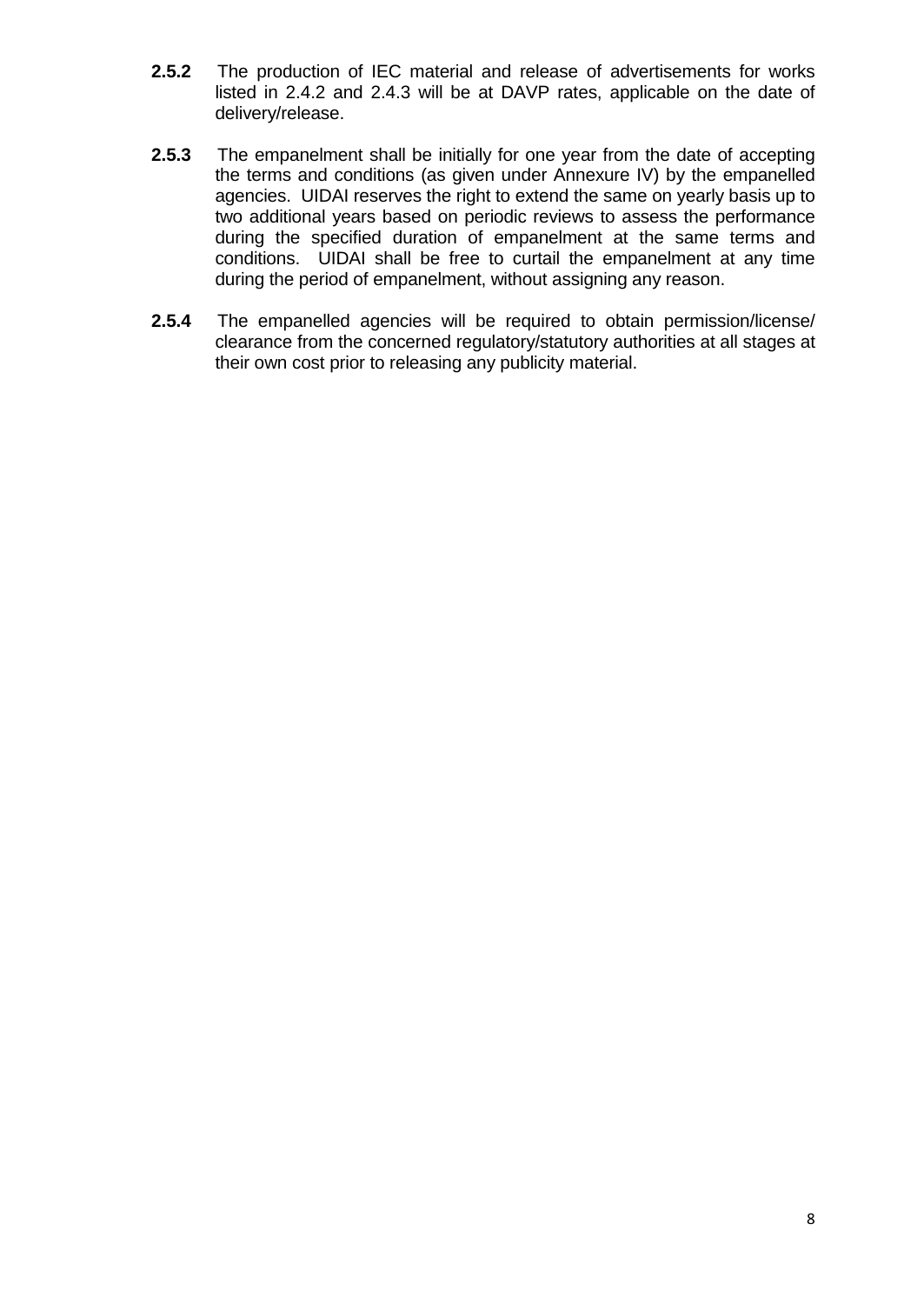- **2.5.2** The production of IEC material and release of advertisements for works listed in 2.4.2 and 2.4.3 will be at DAVP rates, applicable on the date of delivery/release.
- **2.5.3** The empanelment shall be initially for one year from the date of accepting the terms and conditions (as given under Annexure IV) by the empanelled agencies. UIDAI reserves the right to extend the same on yearly basis up to two additional years based on periodic reviews to assess the performance during the specified duration of empanelment at the same terms and conditions. UIDAI shall be free to curtail the empanelment at any time during the period of empanelment, without assigning any reason.
- **2.5.4** The empanelled agencies will be required to obtain permission/license/ clearance from the concerned regulatory/statutory authorities at all stages at their own cost prior to releasing any publicity material.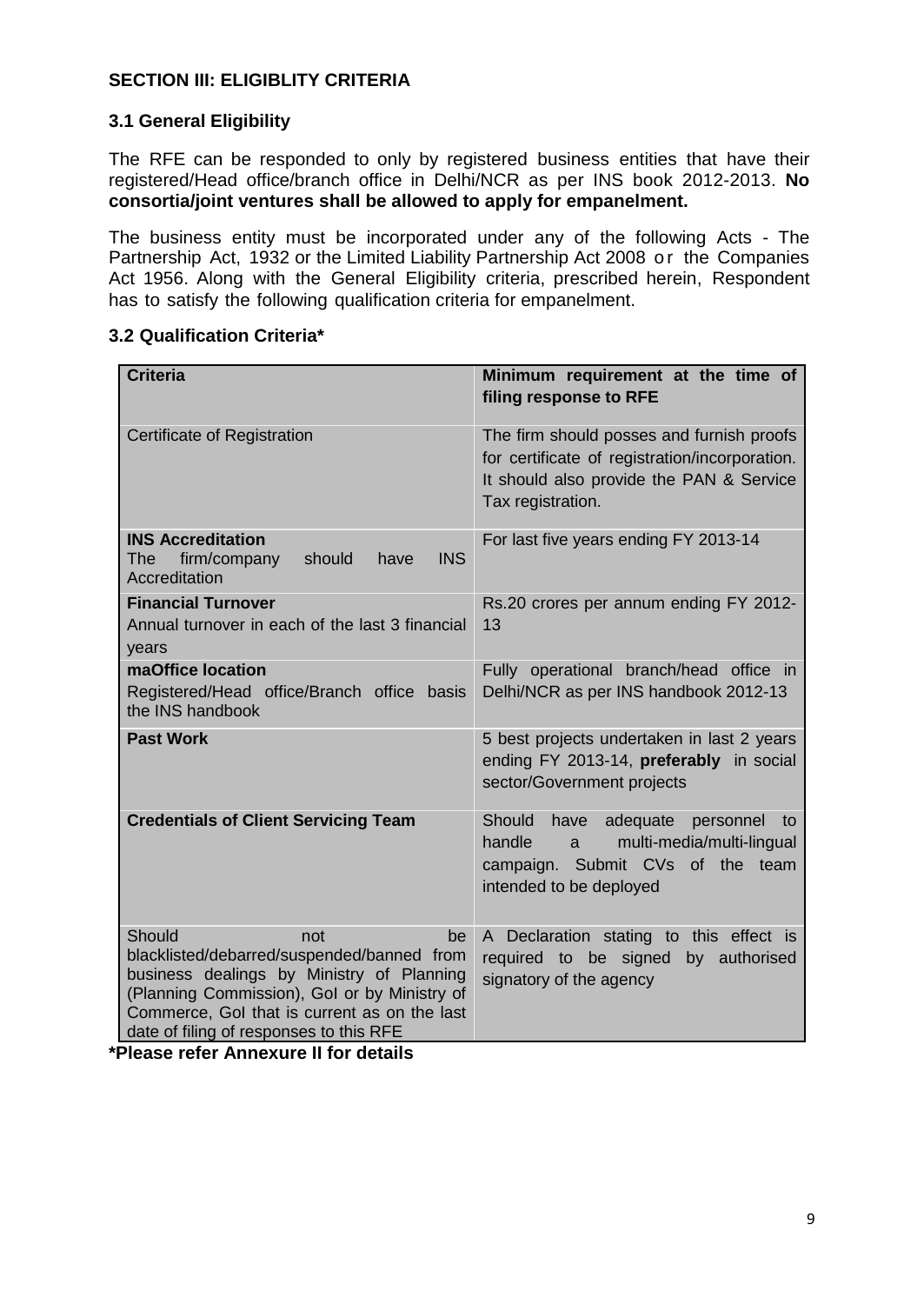#### **SECTION III: ELIGIBLITY CRITERIA**

#### **3.1 General Eligibility**

The RFE can be responded to only by registered business entities that have their registered/Head office/branch office in Delhi/NCR as per INS book 2012-2013. **No consortia/joint ventures shall be allowed to apply for empanelment.**

The business entity must be incorporated under any of the following Acts - The Partnership Act, 1932 or the Limited Liability Partnership Act 2008 or the Companies Act 1956. Along with the General Eligibility criteria, prescribed herein, Respondent has to satisfy the following qualification criteria for empanelment.

#### **3.2 Qualification Criteria\***

| <b>Criteria</b>                                                                                                                                                                                                                                           | Minimum requirement at the time of<br>filing response to RFE                                                                                                 |
|-----------------------------------------------------------------------------------------------------------------------------------------------------------------------------------------------------------------------------------------------------------|--------------------------------------------------------------------------------------------------------------------------------------------------------------|
| Certificate of Registration                                                                                                                                                                                                                               | The firm should posses and furnish proofs<br>for certificate of registration/incorporation.<br>It should also provide the PAN & Service<br>Tax registration. |
| <b>INS Accreditation</b><br>should<br><b>INS</b><br>The firm/company<br>have<br>Accreditation                                                                                                                                                             | For last five years ending FY 2013-14                                                                                                                        |
| <b>Financial Turnover</b><br>Annual turnover in each of the last 3 financial<br>years                                                                                                                                                                     | Rs.20 crores per annum ending FY 2012-<br>13                                                                                                                 |
| maOffice location<br>Registered/Head office/Branch office basis<br>the INS handbook                                                                                                                                                                       | Fully operational branch/head office in<br>Delhi/NCR as per INS handbook 2012-13                                                                             |
| <b>Past Work</b>                                                                                                                                                                                                                                          | 5 best projects undertaken in last 2 years<br>ending FY 2013-14, preferably in social<br>sector/Government projects                                          |
| <b>Credentials of Client Servicing Team</b>                                                                                                                                                                                                               | Should have adequate<br>personnel<br>to<br>handle<br>multi-media/multi-lingual<br>$a -$<br>campaign. Submit CVs of the team<br>intended to be deployed       |
| Should<br>not<br>be<br>blacklisted/debarred/suspended/banned from<br>business dealings by Ministry of Planning<br>(Planning Commission), Gol or by Ministry of<br>Commerce, Gol that is current as on the last<br>date of filing of responses to this RFE | A Declaration stating to this effect is<br>required to be signed<br>by authorised<br>signatory of the agency                                                 |

**\*Please refer Annexure II for details**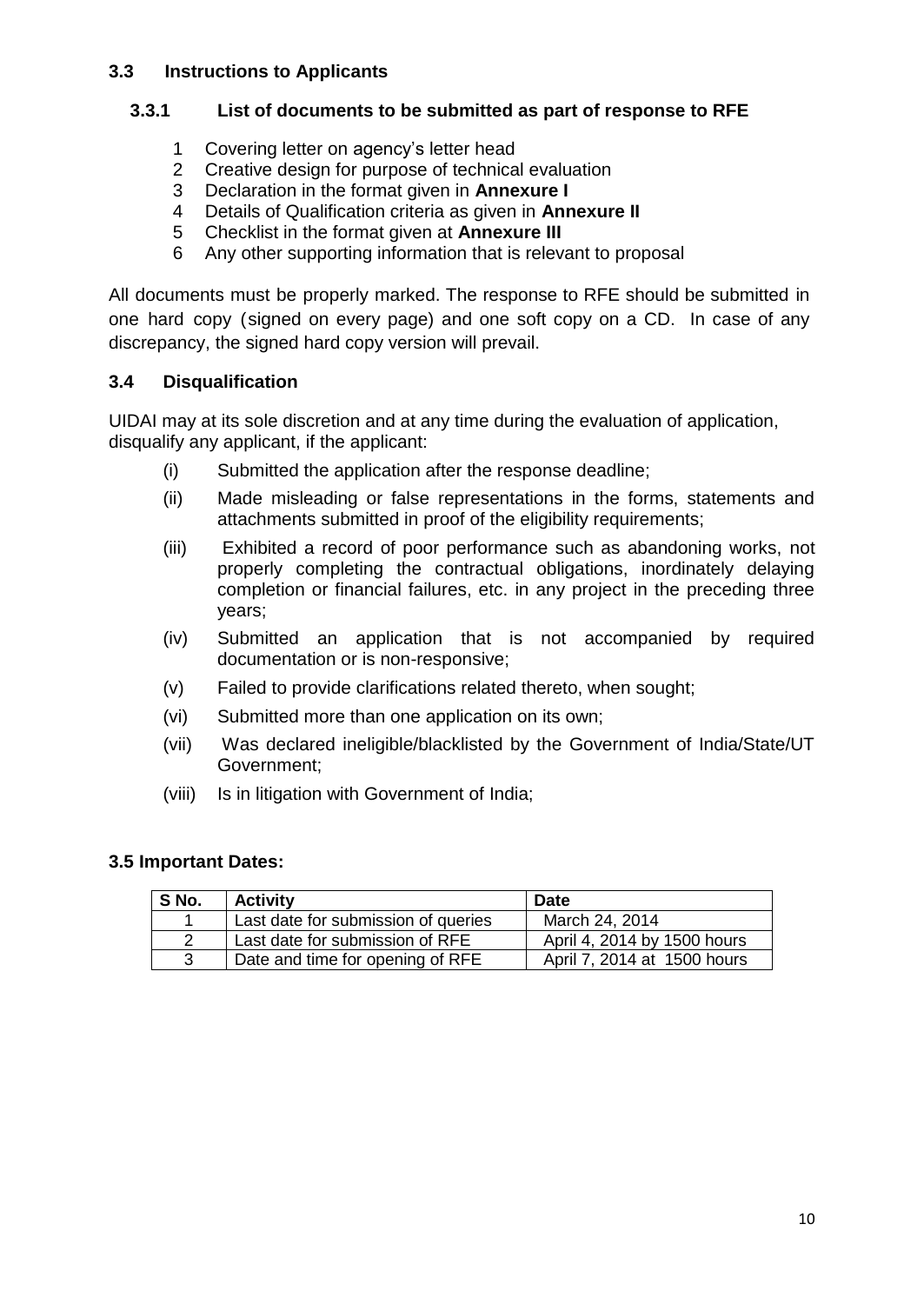#### **3.3 Instructions to Applicants**

#### **3.3.1 List of documents to be submitted as part of response to RFE**

- 1 Covering letter on agency"s letter head
- 2 Creative design for purpose of technical evaluation
- 3 Declaration in the format given in **Annexure I**
- 4 Details of Qualification criteria as given in **Annexure II**
- 5 Checklist in the format given at **Annexure III**
- 6 Any other supporting information that is relevant to proposal

All documents must be properly marked. The response to RFE should be submitted in one hard copy (signed on every page) and one soft copy on a CD. In case of any discrepancy, the signed hard copy version will prevail.

#### **3.4 Disqualification**

UIDAI may at its sole discretion and at any time during the evaluation of application, disqualify any applicant, if the applicant:

- (i) Submitted the application after the response deadline;
- (ii) Made misleading or false representations in the forms, statements and attachments submitted in proof of the eligibility requirements;
- (iii) Exhibited a record of poor performance such as abandoning works, not properly completing the contractual obligations, inordinately delaying completion or financial failures, etc. in any project in the preceding three years;
- (iv) Submitted an application that is not accompanied by required documentation or is non-responsive;
- (v) Failed to provide clarifications related thereto, when sought;
- (vi) Submitted more than one application on its own;
- (vii) Was declared ineligible/blacklisted by the Government of India/State/UT Government;
- (viii) Is in litigation with Government of India;

#### **3.5 Important Dates:**

| S No. | <b>Activity</b>                     | <b>Date</b>                 |
|-------|-------------------------------------|-----------------------------|
|       | Last date for submission of queries | March 24, 2014              |
| 2     | Last date for submission of RFE     | April 4, 2014 by 1500 hours |
| 3     | Date and time for opening of RFE    | April 7, 2014 at 1500 hours |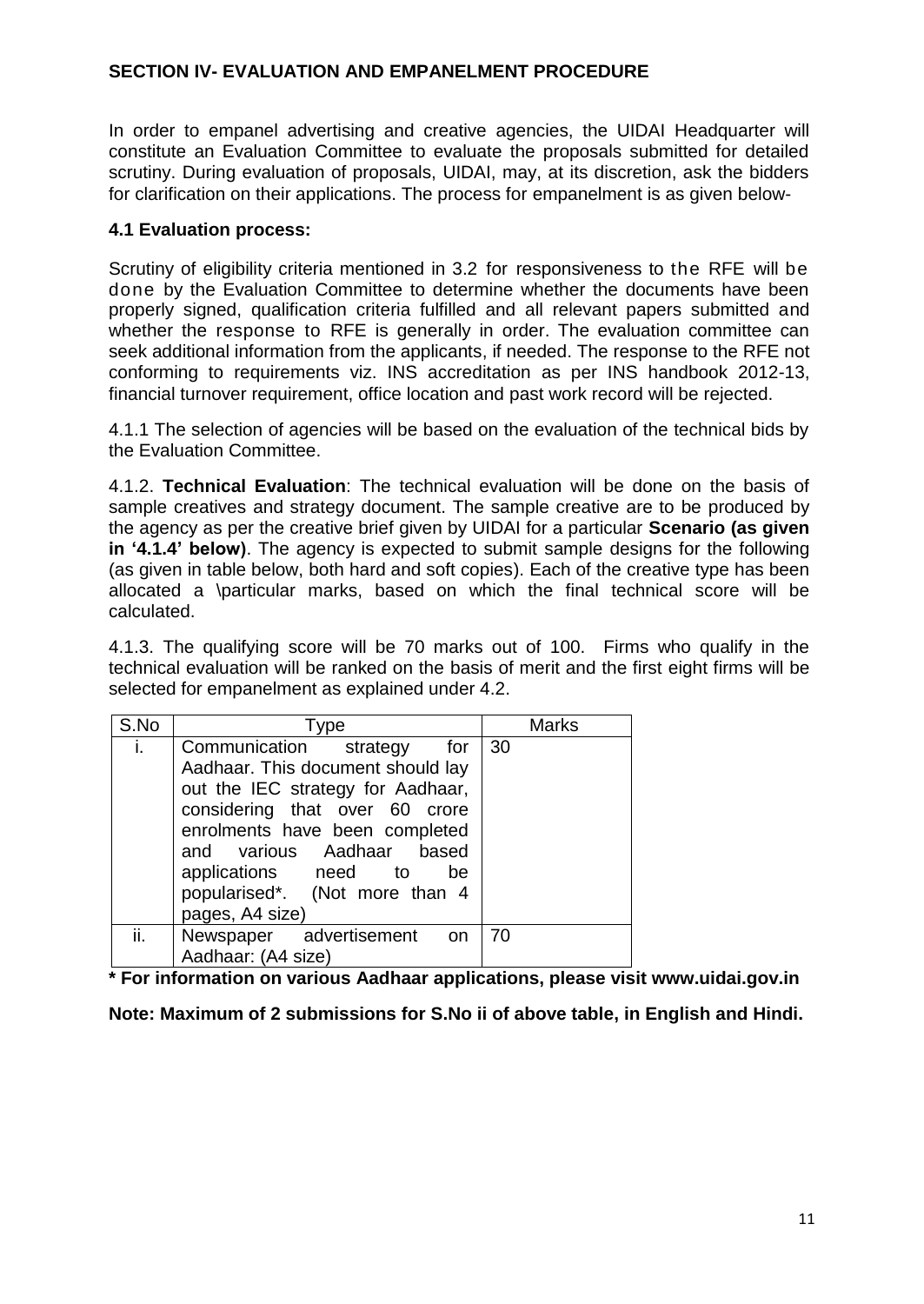#### **SECTION IV- EVALUATION AND EMPANELMENT PROCEDURE**

In order to empanel advertising and creative agencies, the UIDAI Headquarter will constitute an Evaluation Committee to evaluate the proposals submitted for detailed scrutiny. During evaluation of proposals, UIDAI, may, at its discretion, ask the bidders for clarification on their applications. The process for empanelment is as given below-

#### **4.1 Evaluation process:**

Scrutiny of eligibility criteria mentioned in 3.2 for responsiveness to the RFE will be done by the Evaluation Committee to determine whether the documents have been properly signed, qualification criteria fulfilled and all relevant papers submitted and whether the response to RFE is generally in order. The evaluation committee can seek additional information from the applicants, if needed. The response to the RFE not conforming to requirements viz. INS accreditation as per INS handbook 2012-13, financial turnover requirement, office location and past work record will be rejected.

4.1.1 The selection of agencies will be based on the evaluation of the technical bids by the Evaluation Committee.

4.1.2. **Technical Evaluation**: The technical evaluation will be done on the basis of sample creatives and strategy document. The sample creative are to be produced by the agency as per the creative brief given by UIDAI for a particular **Scenario (as given in "4.1.4" below)**. The agency is expected to submit sample designs for the following (as given in table below, both hard and soft copies). Each of the creative type has been allocated a \particular marks, based on which the final technical score will be calculated.

4.1.3. The qualifying score will be 70 marks out of 100. Firms who qualify in the technical evaluation will be ranked on the basis of merit and the first eight firms will be selected for empanelment as explained under 4.2.

| S.No | Type                                                                                                                                                                                                                                                                                        | <b>Marks</b> |
|------|---------------------------------------------------------------------------------------------------------------------------------------------------------------------------------------------------------------------------------------------------------------------------------------------|--------------|
| i.   | Communication strategy<br>for<br>Aadhaar. This document should lay<br>out the IEC strategy for Aadhaar,<br>considering that over 60 crore<br>enrolments have been completed<br>and various Aadhaar based<br>applications need to<br>be<br>popularised*. (Not more than 4<br>pages, A4 size) | 30           |
| ii.  | Newspaper advertisement on<br>Aadhaar: (A4 size)                                                                                                                                                                                                                                            | 70           |

**\* For information on various Aadhaar applications, please visit www.uidai.gov.in**

**Note: Maximum of 2 submissions for S.No ii of above table, in English and Hindi.**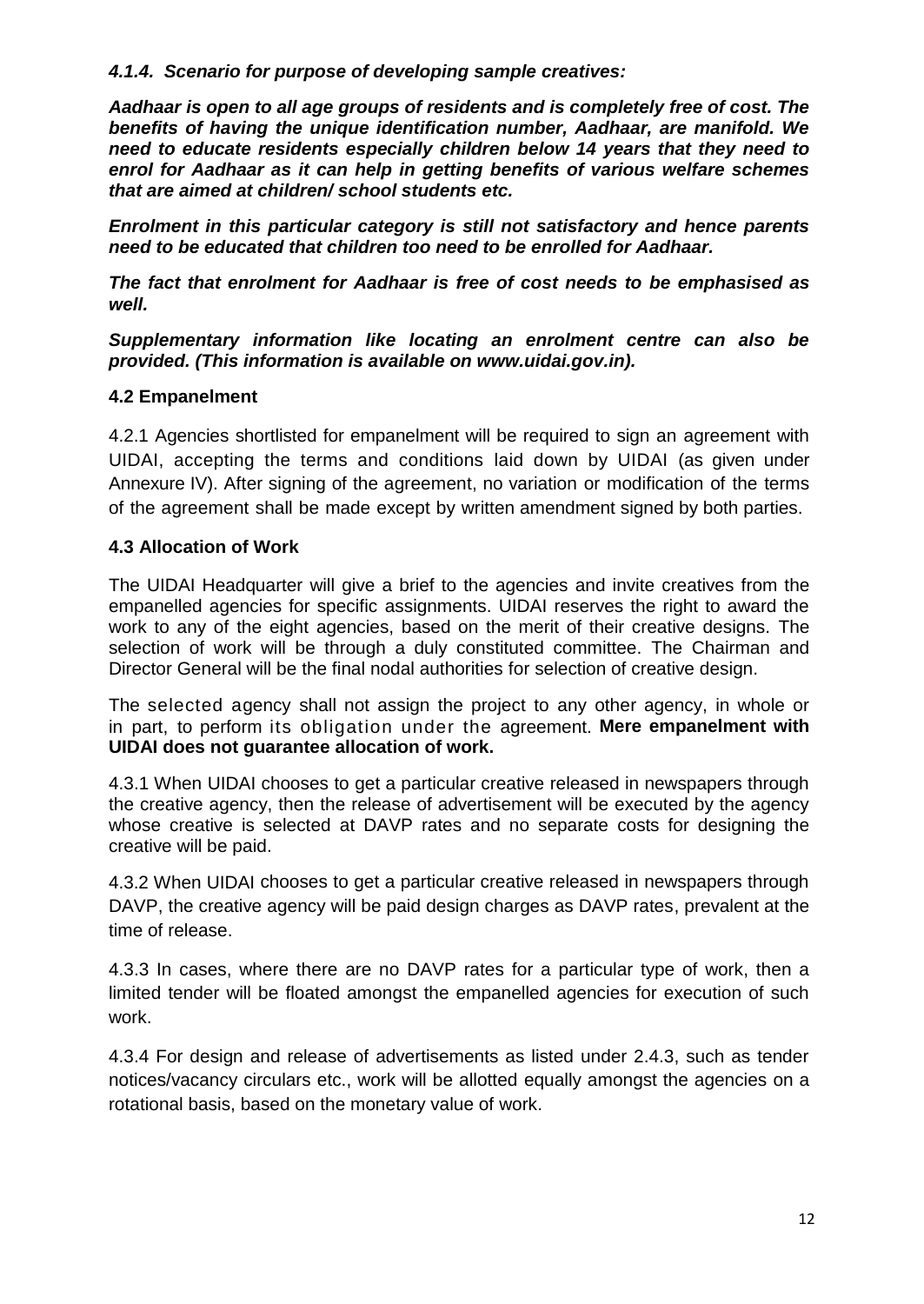#### *4.1.4. Scenario for purpose of developing sample creatives:*

*Aadhaar is open to all age groups of residents and is completely free of cost. The benefits of having the unique identification number, Aadhaar, are manifold. We need to educate residents especially children below 14 years that they need to enrol for Aadhaar as it can help in getting benefits of various welfare schemes that are aimed at children/ school students etc.* 

*Enrolment in this particular category is still not satisfactory and hence parents need to be educated that children too need to be enrolled for Aadhaar.* 

*The fact that enrolment for Aadhaar is free of cost needs to be emphasised as well.*

*Supplementary information like locating an enrolment centre can also be provided. (This information is available on www.uidai.gov.in).*

#### **4.2 Empanelment**

4.2.1 Agencies shortlisted for empanelment will be required to sign an agreement with UIDAI, accepting the terms and conditions laid down by UIDAI (as given under Annexure IV). After signing of the agreement, no variation or modification of the terms of the agreement shall be made except by written amendment signed by both parties.

#### **4.3 Allocation of Work**

The UIDAI Headquarter will give a brief to the agencies and invite creatives from the empanelled agencies for specific assignments. UIDAI reserves the right to award the work to any of the eight agencies, based on the merit of their creative designs. The selection of work will be through a duly constituted committee. The Chairman and Director General will be the final nodal authorities for selection of creative design.

The selected agency shall not assign the project to any other agency, in whole or in part, to perform its obligation under the agreement. **Mere empanelment with UIDAI does not guarantee allocation of work.**

4.3.1 When UIDAI chooses to get a particular creative released in newspapers through the creative agency, then the release of advertisement will be executed by the agency whose creative is selected at DAVP rates and no separate costs for designing the creative will be paid.

4.3.2 When UIDAI chooses to get a particular creative released in newspapers through DAVP, the creative agency will be paid design charges as DAVP rates, prevalent at the time of release.

4.3.3 In cases, where there are no DAVP rates for a particular type of work, then a limited tender will be floated amongst the empanelled agencies for execution of such work.

4.3.4 For design and release of advertisements as listed under 2.4.3, such as tender notices/vacancy circulars etc., work will be allotted equally amongst the agencies on a rotational basis, based on the monetary value of work.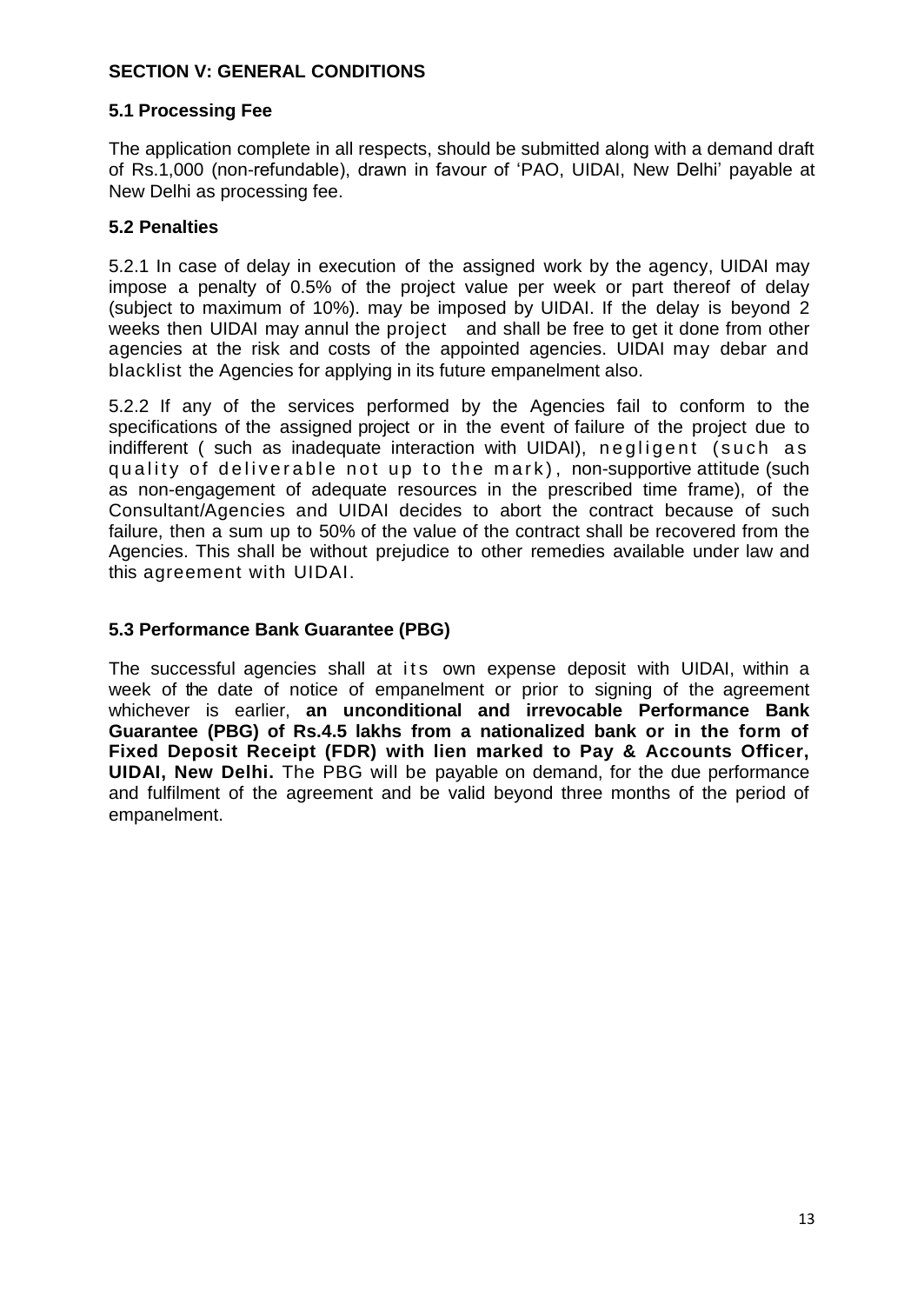#### **SECTION V: GENERAL CONDITIONS**

#### **5.1 Processing Fee**

The application complete in all respects, should be submitted along with a demand draft of Rs.1,000 (non-refundable), drawn in favour of "PAO, UIDAI, New Delhi" payable at New Delhi as processing fee.

#### **5.2 Penalties**

5.2.1 In case of delay in execution of the assigned work by the agency, UIDAI may impose a penalty of 0.5% of the project value per week or part thereof of delay (subject to maximum of 10%). may be imposed by UIDAI. If the delay is beyond 2 weeks then UIDAI may annul the project and shall be free to get it done from other agencies at the risk and costs of the appointed agencies. UIDAI may debar and blacklist the Agencies for applying in its future empanelment also.

5.2.2 If any of the services performed by the Agencies fail to conform to the specifications of the assigned project or in the event of failure of the project due to indifferent ( such as inadequate interaction with UIDAI), negligent (such as quality of deliverable not up to the mark), non-supportive attitude (such as non-engagement of adequate resources in the prescribed time frame), of the Consultant/Agencies and UIDAI decides to abort the contract because of such failure, then a sum up to 50% of the value of the contract shall be recovered from the Agencies. This shall be without prejudice to other remedies available under law and this agreement with UIDAI.

#### **5.3 Performance Bank Guarantee (PBG)**

The successful agencies shall at its own expense deposit with UIDAI, within a week of the date of notice of empanelment or prior to signing of the agreement whichever is earlier, **an unconditional and irrevocable Performance Bank Guarantee (PBG) of Rs.4.5 lakhs from a nationalized bank or in the form of Fixed Deposit Receipt (FDR) with lien marked to Pay & Accounts Officer, UIDAI, New Delhi.** The PBG will be payable on demand, for the due performance and fulfilment of the agreement and be valid beyond three months of the period of empanelment.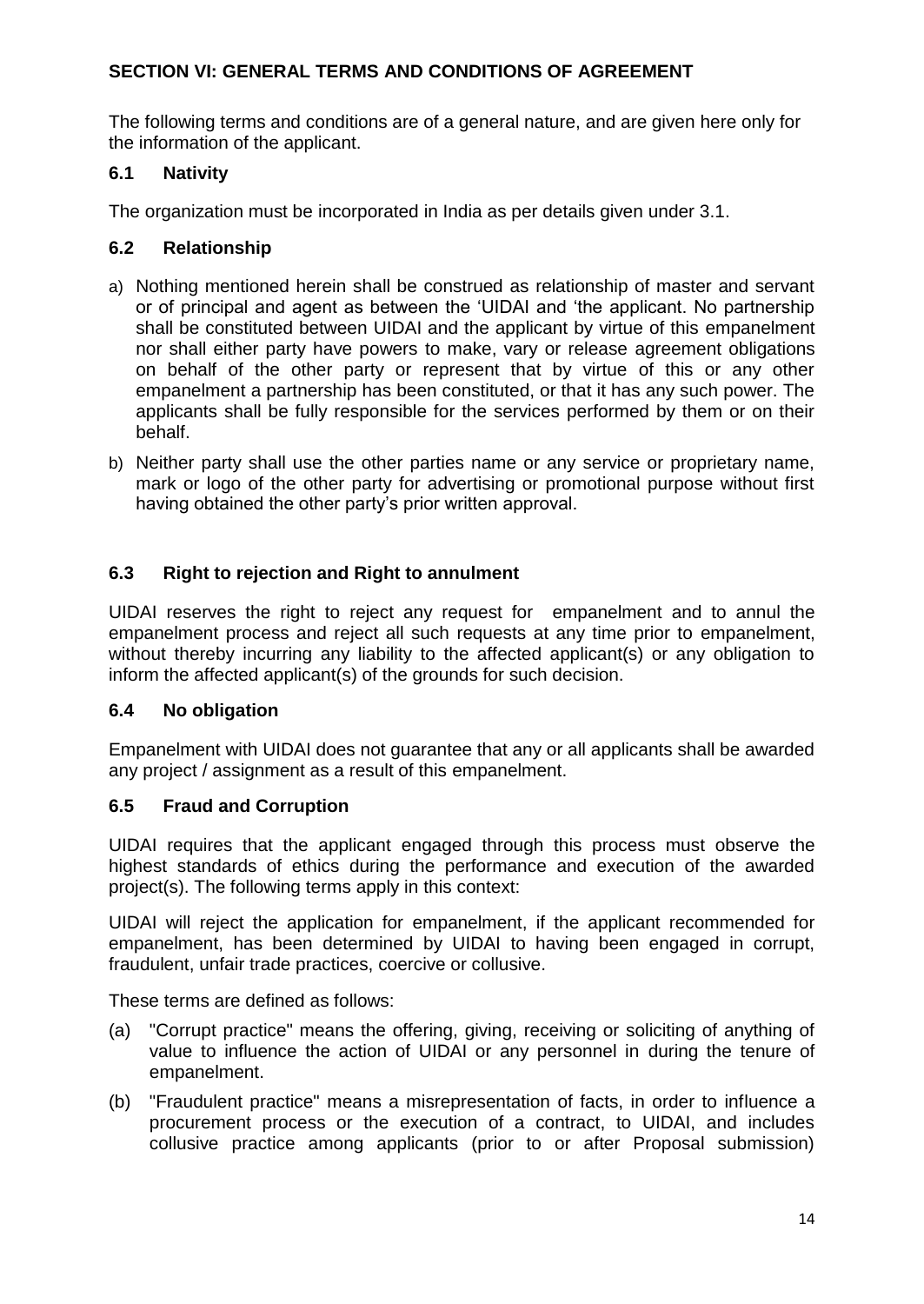#### **SECTION VI: GENERAL TERMS AND CONDITIONS OF AGREEMENT**

The following terms and conditions are of a general nature, and are given here only for the information of the applicant.

#### **6.1 Nativity**

The organization must be incorporated in India as per details given under 3.1.

#### **6.2 Relationship**

- a) Nothing mentioned herein shall be construed as relationship of master and servant or of principal and agent as between the "UIDAI and "the applicant. No partnership shall be constituted between UIDAI and the applicant by virtue of this empanelment nor shall either party have powers to make, vary or release agreement obligations on behalf of the other party or represent that by virtue of this or any other empanelment a partnership has been constituted, or that it has any such power. The applicants shall be fully responsible for the services performed by them or on their behalf.
- b) Neither party shall use the other parties name or any service or proprietary name, mark or logo of the other party for advertising or promotional purpose without first having obtained the other party"s prior written approval.

#### **6.3 Right to rejection and Right to annulment**

UIDAI reserves the right to reject any request for empanelment and to annul the empanelment process and reject all such requests at any time prior to empanelment, without thereby incurring any liability to the affected applicant(s) or any obligation to inform the affected applicant(s) of the grounds for such decision.

#### **6.4 No obligation**

Empanelment with UIDAI does not guarantee that any or all applicants shall be awarded any project / assignment as a result of this empanelment.

#### **6.5 Fraud and Corruption**

UIDAI requires that the applicant engaged through this process must observe the highest standards of ethics during the performance and execution of the awarded project(s). The following terms apply in this context:

UIDAI will reject the application for empanelment, if the applicant recommended for empanelment, has been determined by UIDAI to having been engaged in corrupt, fraudulent, unfair trade practices, coercive or collusive.

These terms are defined as follows:

- (a) "Corrupt practice" means the offering, giving, receiving or soliciting of anything of value to influence the action of UIDAI or any personnel in during the tenure of empanelment.
- (b) "Fraudulent practice" means a misrepresentation of facts, in order to influence a procurement process or the execution of a contract, to UIDAI, and includes collusive practice among applicants (prior to or after Proposal submission)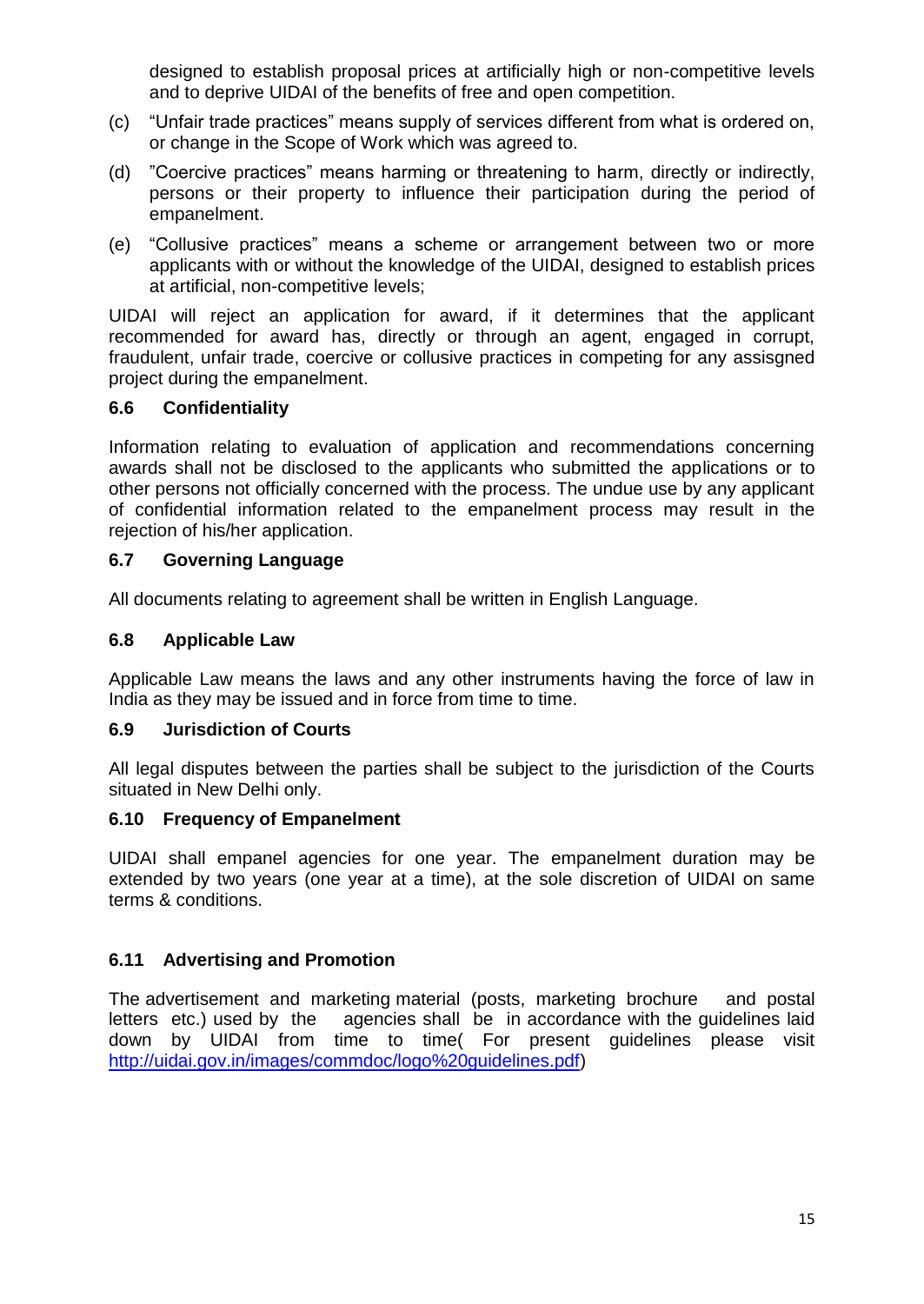designed to establish proposal prices at artificially high or non-competitive levels and to deprive UIDAI of the benefits of free and open competition.

- (c) "Unfair trade practices" means supply of services different from what is ordered on, or change in the Scope of Work which was agreed to.
- (d) "Coercive practices" means harming or threatening to harm, directly or indirectly, persons or their property to influence their participation during the period of empanelment.
- (e) "Collusive practices" means a scheme or arrangement between two or more applicants with or without the knowledge of the UIDAI, designed to establish prices at artificial, non-competitive levels;

UIDAI will reject an application for award, if it determines that the applicant recommended for award has, directly or through an agent, engaged in corrupt, fraudulent, unfair trade, coercive or collusive practices in competing for any assisgned project during the empanelment.

#### **6.6 Confidentiality**

Information relating to evaluation of application and recommendations concerning awards shall not be disclosed to the applicants who submitted the applications or to other persons not officially concerned with the process. The undue use by any applicant of confidential information related to the empanelment process may result in the rejection of his/her application.

#### **6.7 Governing Language**

All documents relating to agreement shall be written in English Language.

#### **6.8 Applicable Law**

Applicable Law means the laws and any other instruments having the force of law in India as they may be issued and in force from time to time.

#### **6.9 Jurisdiction of Courts**

All legal disputes between the parties shall be subject to the jurisdiction of the Courts situated in New Delhi only.

#### **6.10 Frequency of Empanelment**

UIDAI shall empanel agencies for one year. The empanelment duration may be extended by two years (one year at a time), at the sole discretion of UIDAI on same terms & conditions.

#### **6.11 Advertising and Promotion**

The advertisement and marketing material (posts, marketing brochure and postal letters etc.) used by the agencies shall be in accordance with the guidelines laid down by UIDAI from time to time( For present guidelines please visit [http://uidai.gov.in/images/commdoc/logo%20guidelines.pdf\)](http://uidai.gov.in/images/commdoc/logo%20guidelines.pdf)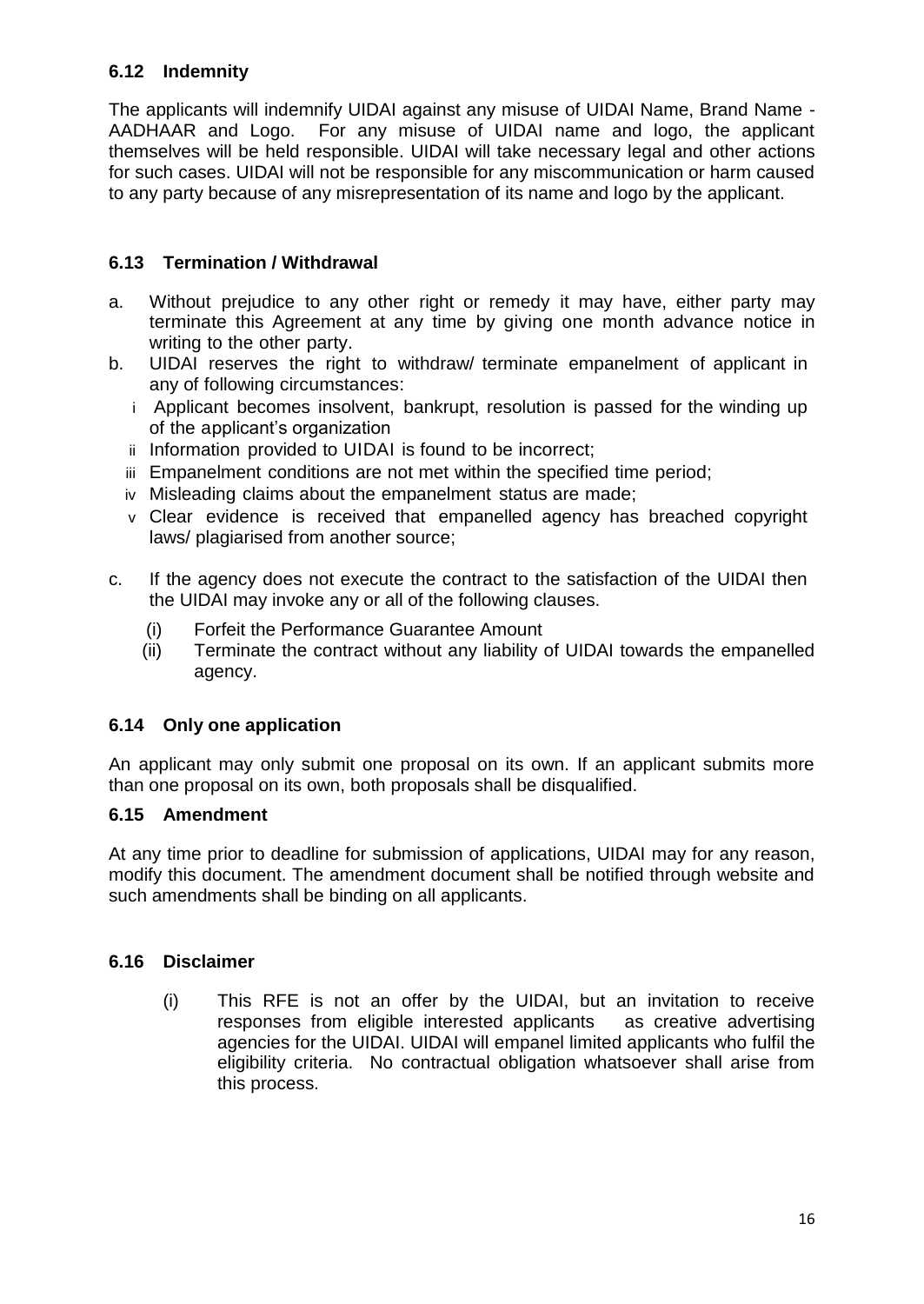#### **6.12 Indemnity**

The applicants will indemnify UIDAI against any misuse of UIDAI Name, Brand Name - AADHAAR and Logo. For any misuse of UIDAI name and logo, the applicant themselves will be held responsible. UIDAI will take necessary legal and other actions for such cases. UIDAI will not be responsible for any miscommunication or harm caused to any party because of any misrepresentation of its name and logo by the applicant.

#### **6.13 Termination / Withdrawal**

- a. Without prejudice to any other right or remedy it may have, either party may terminate this Agreement at any time by giving one month advance notice in writing to the other party.
- b. UIDAI reserves the right to withdraw/ terminate empanelment of applicant in any of following circumstances:
	- i Applicant becomes insolvent, bankrupt, resolution is passed for the winding up of the applicant"s organization
	- ii Information provided to UIDAI is found to be incorrect;
	- iii Empanelment conditions are not met within the specified time period;
	- iv Misleading claims about the empanelment status are made;
	- v Clear evidence is received that empanelled agency has breached copyright laws/ plagiarised from another source;
- c. If the agency does not execute the contract to the satisfaction of the UIDAI then the UIDAI may invoke any or all of the following clauses.
	- (i) Forfeit the Performance Guarantee Amount
	- (ii) Terminate the contract without any liability of UIDAI towards the empanelled agency.

#### **6.14 Only one application**

An applicant may only submit one proposal on its own. If an applicant submits more than one proposal on its own, both proposals shall be disqualified.

#### **6.15 Amendment**

At any time prior to deadline for submission of applications, UIDAI may for any reason, modify this document. The amendment document shall be notified through website and such amendments shall be binding on all applicants.

#### **6.16 Disclaimer**

(i) This RFE is not an offer by the UIDAI, but an invitation to receive responses from eligible interested applicants as creative advertising agencies for the UIDAI. UIDAI will empanel limited applicants who fulfil the eligibility criteria. No contractual obligation whatsoever shall arise from this process.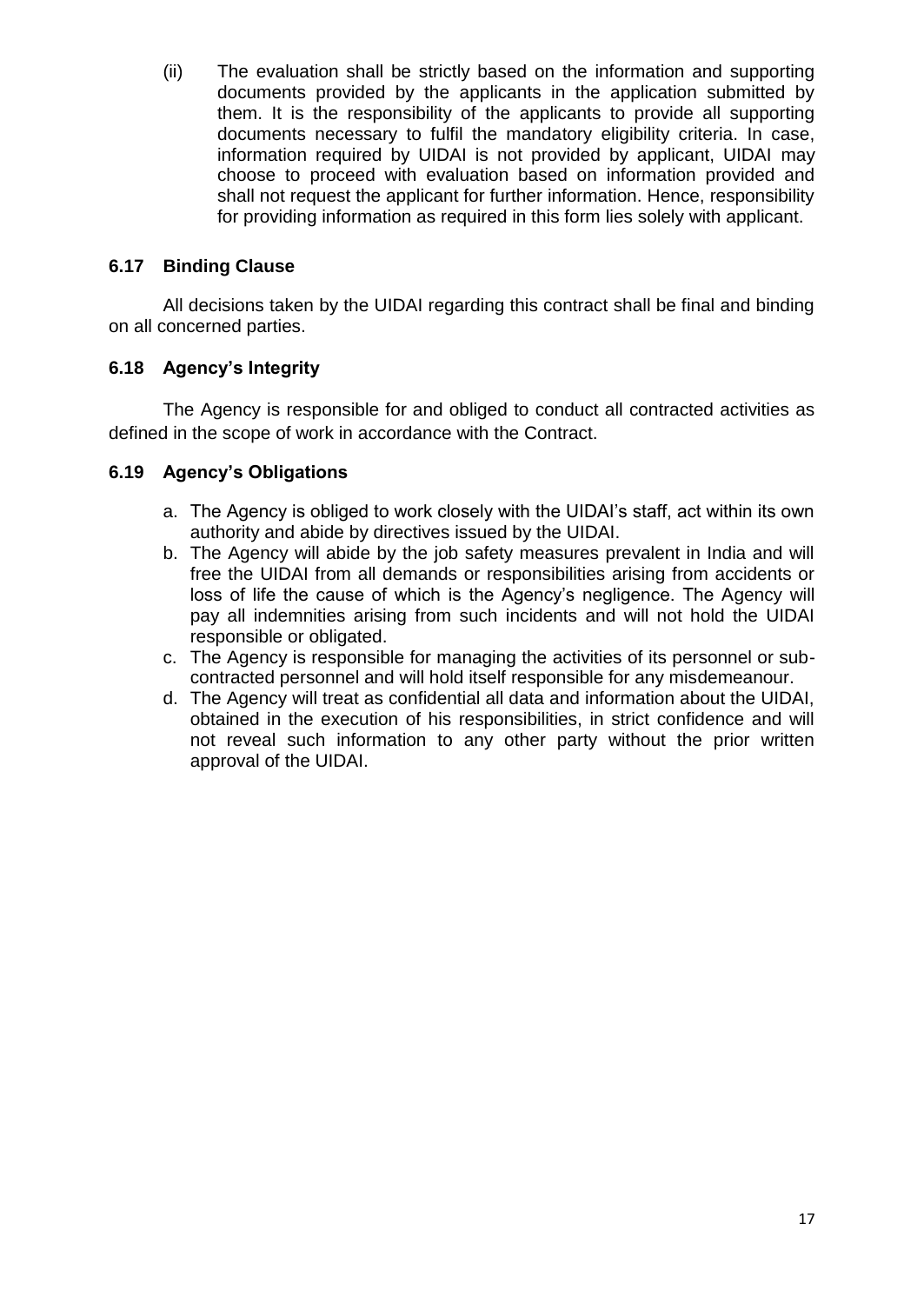(ii) The evaluation shall be strictly based on the information and supporting documents provided by the applicants in the application submitted by them. It is the responsibility of the applicants to provide all supporting documents necessary to fulfil the mandatory eligibility criteria. In case, information required by UIDAI is not provided by applicant, UIDAI may choose to proceed with evaluation based on information provided and shall not request the applicant for further information. Hence, responsibility for providing information as required in this form lies solely with applicant.

#### **6.17 Binding Clause**

All decisions taken by the UIDAI regarding this contract shall be final and binding on all concerned parties.

#### **6.18 Agency"s Integrity**

The Agency is responsible for and obliged to conduct all contracted activities as defined in the scope of work in accordance with the Contract.

#### **6.19 Agency"s Obligations**

- a. The Agency is obliged to work closely with the UIDAI"s staff, act within its own authority and abide by directives issued by the UIDAI.
- b. The Agency will abide by the job safety measures prevalent in India and will free the UIDAI from all demands or responsibilities arising from accidents or loss of life the cause of which is the Agency"s negligence. The Agency will pay all indemnities arising from such incidents and will not hold the UIDAI responsible or obligated.
- c. The Agency is responsible for managing the activities of its personnel or subcontracted personnel and will hold itself responsible for any misdemeanour.
- d. The Agency will treat as confidential all data and information about the UIDAI, obtained in the execution of his responsibilities, in strict confidence and will not reveal such information to any other party without the prior written approval of the UIDAI.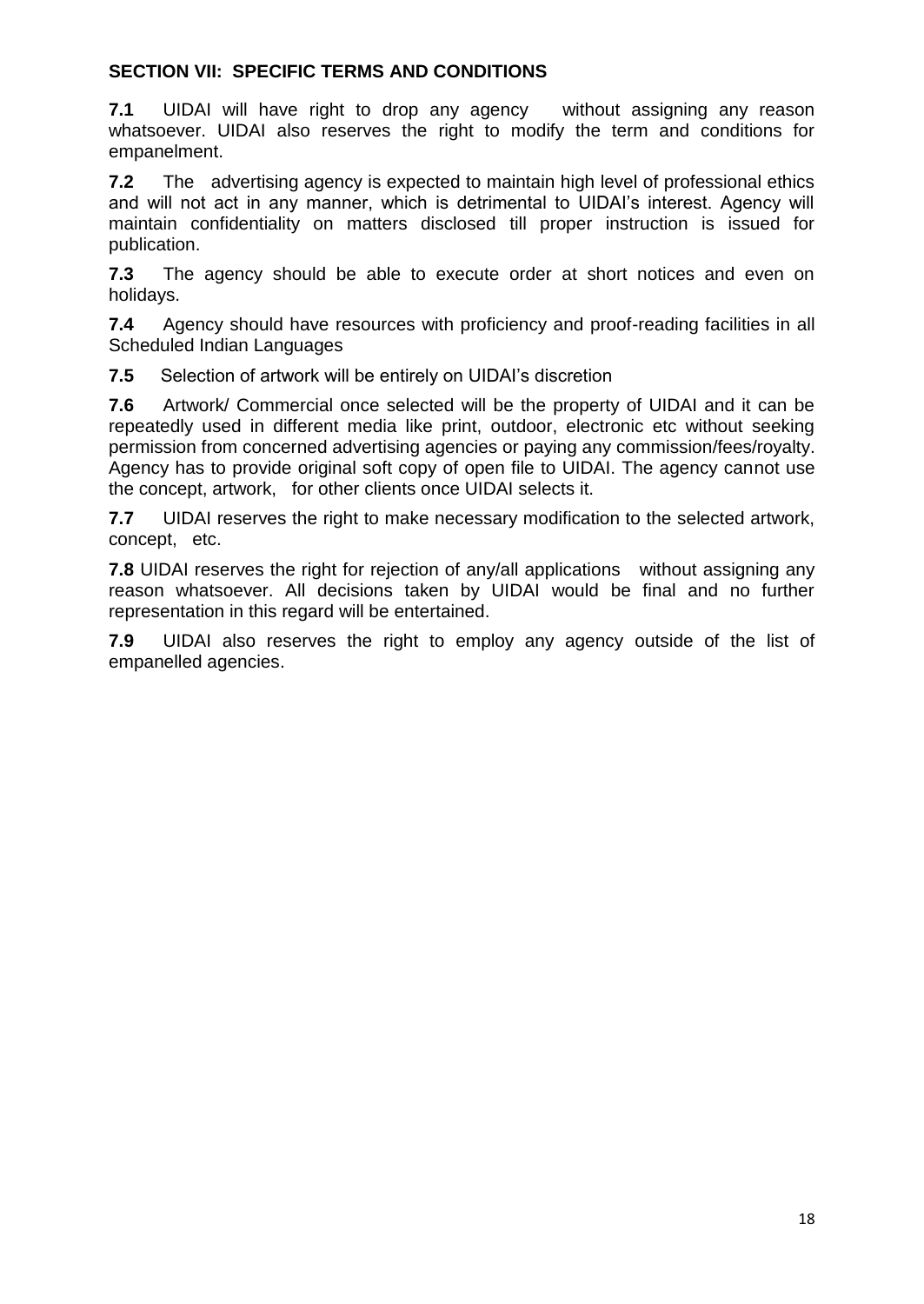#### **SECTION VII: SPECIFIC TERMS AND CONDITIONS**

**7.1** UIDAI will have right to drop any agency without assigning any reason whatsoever. UIDAI also reserves the right to modify the term and conditions for empanelment.

**7.2** The advertising agency is expected to maintain high level of professional ethics and will not act in any manner, which is detrimental to UIDAI's interest. Agency will maintain confidentiality on matters disclosed till proper instruction is issued for publication.

**7.3** The agency should be able to execute order at short notices and even on holidays.

**7.4** Agency should have resources with proficiency and proof-reading facilities in all Scheduled Indian Languages

**7.5** Selection of artwork will be entirely on UIDAI"s discretion

**7.6** Artwork/ Commercial once selected will be the property of UIDAI and it can be repeatedly used in different media like print, outdoor, electronic etc without seeking permission from concerned advertising agencies or paying any commission/fees/royalty. Agency has to provide original soft copy of open file to UIDAI. The agency cannot use the concept, artwork, for other clients once UIDAI selects it.

**7.7** UIDAI reserves the right to make necessary modification to the selected artwork, concept, etc.

**7.8** UIDAI reserves the right for rejection of any/all applications without assigning any reason whatsoever. All decisions taken by UIDAI would be final and no further representation in this regard will be entertained.

**7.9** UIDAI also reserves the right to employ any agency outside of the list of empanelled agencies.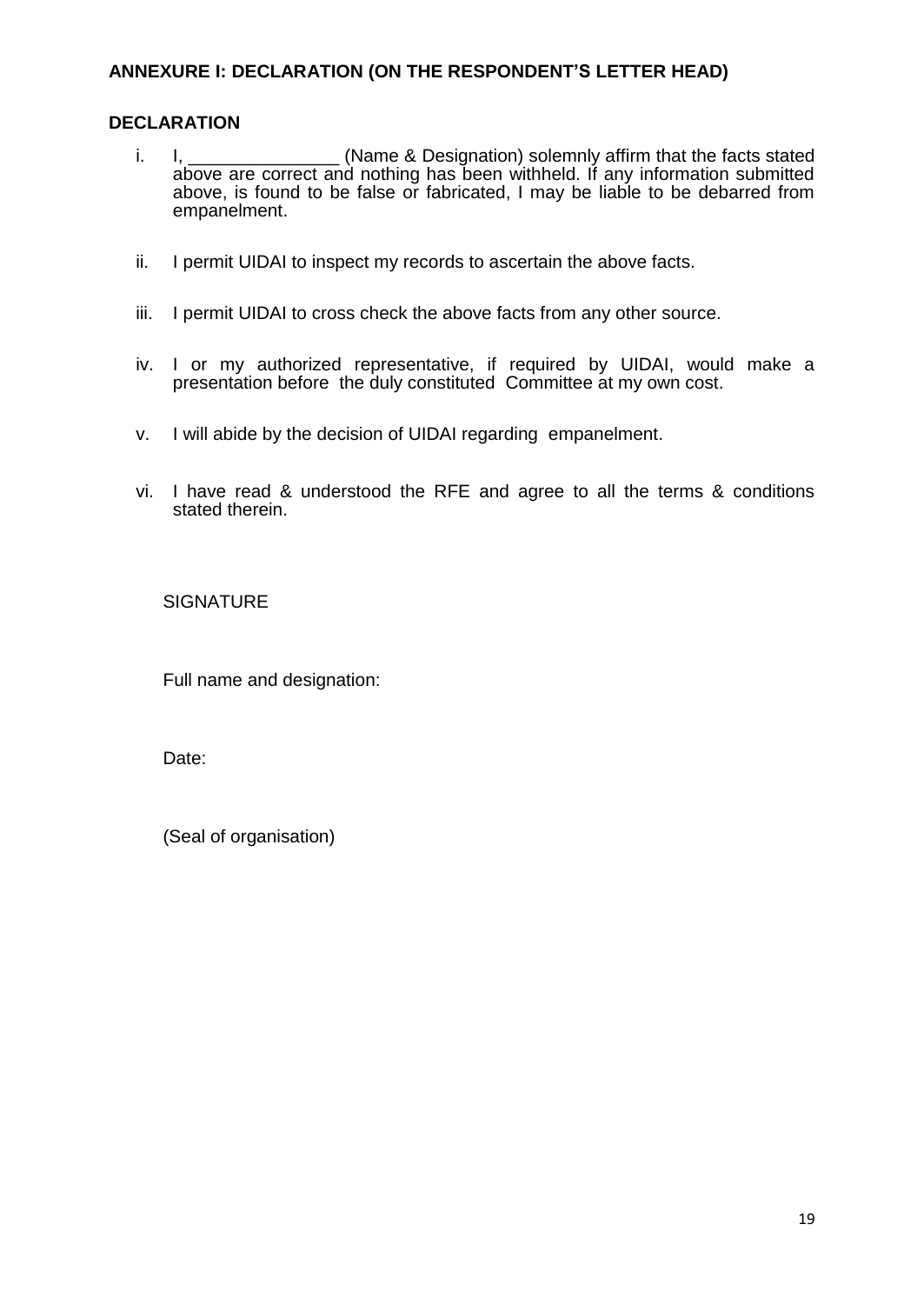#### **ANNEXURE I: DECLARATION (ON THE RESPONDENT"S LETTER HEAD)**

#### **DECLARATION**

- i. I, \_\_\_\_\_\_\_\_\_\_\_\_\_\_\_\_ (Name & Designation) solemnly affirm that the facts stated above are correct and nothing has been withheld. If any information submitted above, is found to be false or fabricated, I may be liable to be debarred from empanelment.
- ii. I permit UIDAI to inspect my records to ascertain the above facts.
- iii. I permit UIDAI to cross check the above facts from any other source.
- iv. I or my authorized representative, if required by UIDAI, would make a presentation before the duly constituted Committee at my own cost.
- v. I will abide by the decision of UIDAI regarding empanelment.
- vi. I have read & understood the RFE and agree to all the terms & conditions stated therein.

#### **SIGNATURE**

Full name and designation:

Date:

(Seal of organisation)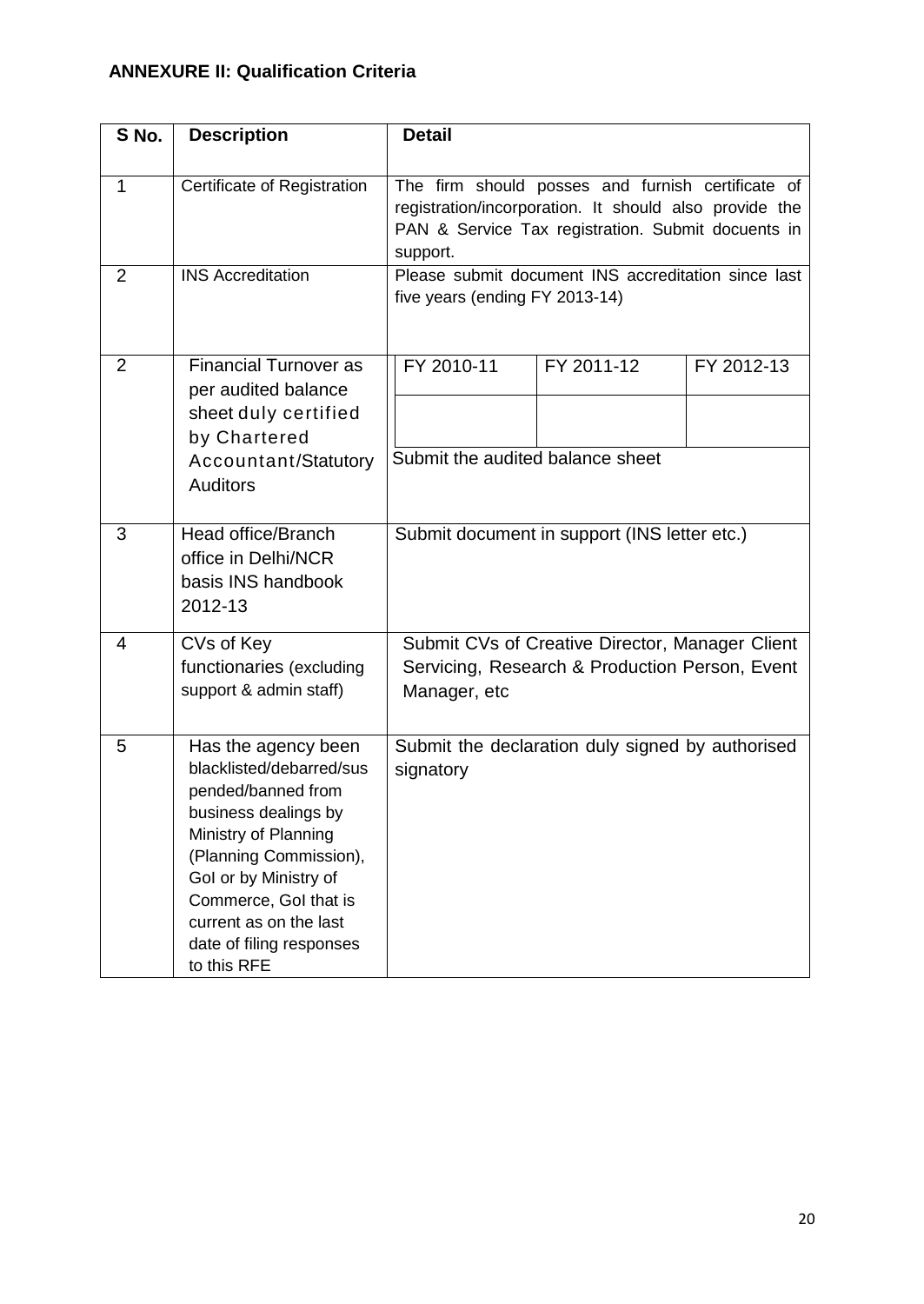### **ANNEXURE II: Qualification Criteria**

| S No.             | <b>Description</b>                                                                                                                                                                                                                                                     | <b>Detail</b>                                                                                                                                                                                                                        |  |
|-------------------|------------------------------------------------------------------------------------------------------------------------------------------------------------------------------------------------------------------------------------------------------------------------|--------------------------------------------------------------------------------------------------------------------------------------------------------------------------------------------------------------------------------------|--|
| $\mathbf{1}$<br>2 | Certificate of Registration<br><b>INS Accreditation</b>                                                                                                                                                                                                                | The firm should posses and furnish certificate of<br>registration/incorporation. It should also provide the<br>PAN & Service Tax registration. Submit docuents in<br>support.<br>Please submit document INS accreditation since last |  |
|                   |                                                                                                                                                                                                                                                                        | five years (ending FY 2013-14)                                                                                                                                                                                                       |  |
| $\overline{2}$    | <b>Financial Turnover as</b><br>per audited balance<br>sheet duly certified<br>by Chartered<br>Accountant/Statutory<br><b>Auditors</b>                                                                                                                                 | FY 2010-11<br>FY 2011-12<br>FY 2012-13<br>Submit the audited balance sheet                                                                                                                                                           |  |
| 3                 | Head office/Branch<br>office in Delhi/NCR<br>basis INS handbook<br>2012-13                                                                                                                                                                                             | Submit document in support (INS letter etc.)                                                                                                                                                                                         |  |
| $\overline{4}$    | CVs of Key<br>functionaries (excluding<br>support & admin staff)                                                                                                                                                                                                       | Submit CVs of Creative Director, Manager Client<br>Servicing, Research & Production Person, Event<br>Manager, etc                                                                                                                    |  |
| 5                 | Has the agency been<br>blacklisted/debarred/sus<br>pended/banned from<br>business dealings by<br>Ministry of Planning<br>(Planning Commission),<br>Gol or by Ministry of<br>Commerce, Gol that is<br>current as on the last<br>date of filing responses<br>to this RFE | Submit the declaration duly signed by authorised<br>signatory                                                                                                                                                                        |  |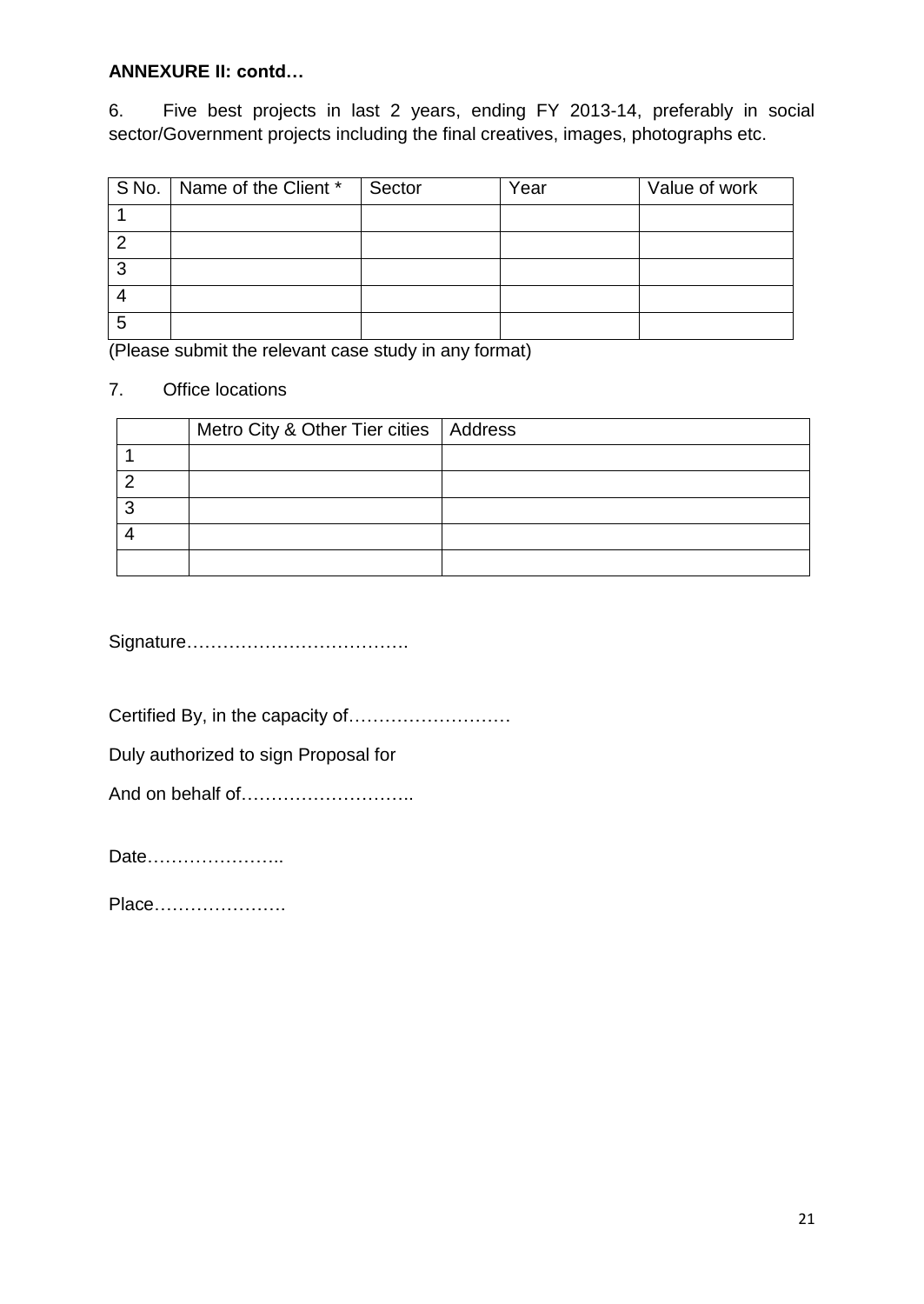#### **ANNEXURE II: contd…**

6. Five best projects in last 2 years, ending FY 2013-14, preferably in social sector/Government projects including the final creatives, images, photographs etc.

|   | S No.   Name of the Client * | Sector | Year | Value of work |
|---|------------------------------|--------|------|---------------|
|   |                              |        |      |               |
| ◠ |                              |        |      |               |
| 2 |                              |        |      |               |
|   |                              |        |      |               |
| 5 |                              |        |      |               |

(Please submit the relevant case study in any format)

#### 7. Office locations

| Metro City & Other Tier cities   Address |  |
|------------------------------------------|--|
|                                          |  |
|                                          |  |
|                                          |  |
|                                          |  |
|                                          |  |

Signature……………………………….

Certified By, in the capacity of………………………

Duly authorized to sign Proposal for

And on behalf of………………………..

Date…………………..

Place………………….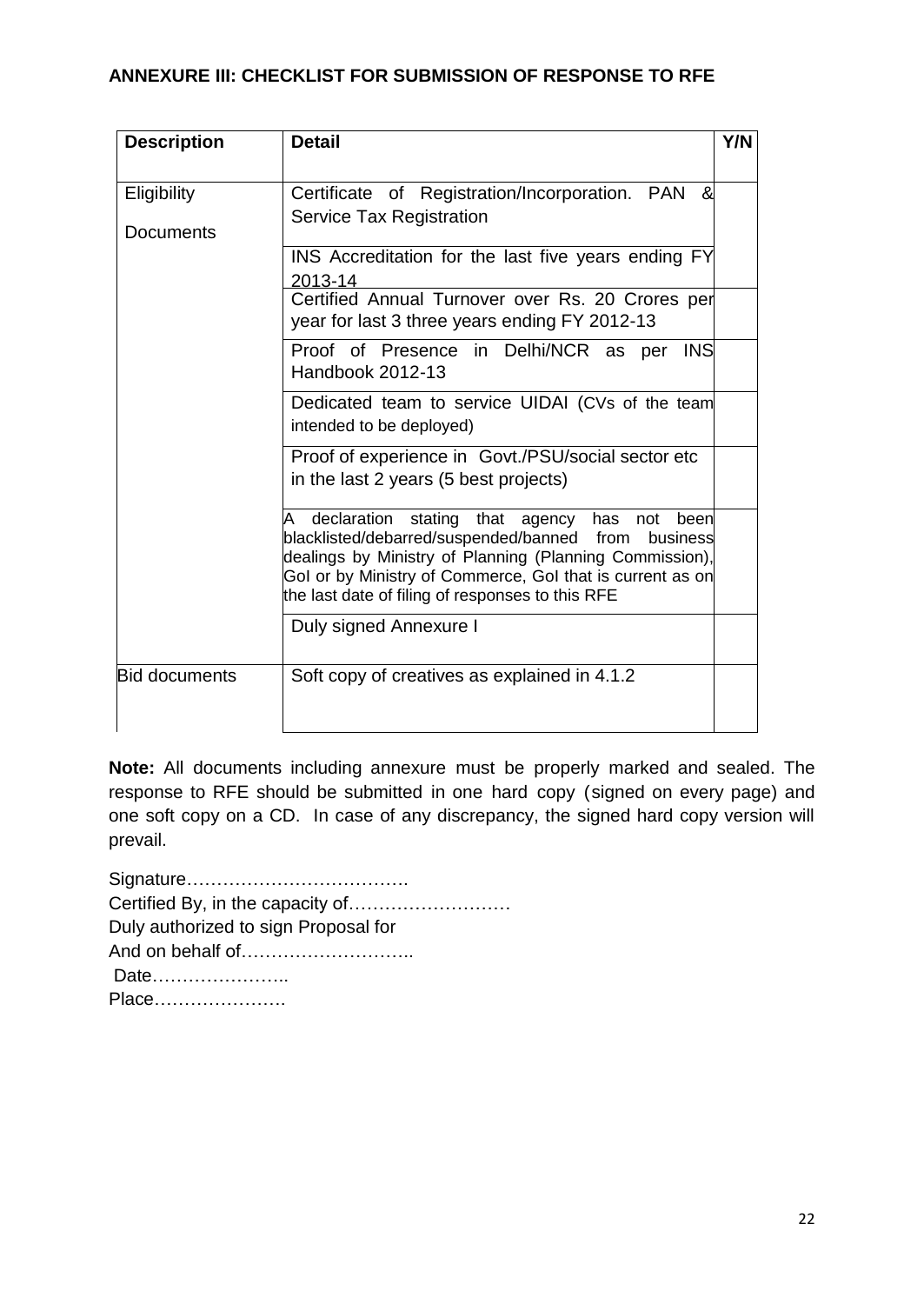#### **ANNEXURE III: CHECKLIST FOR SUBMISSION OF RESPONSE TO RFE**

| <b>Description</b>              | <b>Detail</b>                                                                                                                                                                                                                                                                                          | Y/N |
|---------------------------------|--------------------------------------------------------------------------------------------------------------------------------------------------------------------------------------------------------------------------------------------------------------------------------------------------------|-----|
| Eligibility<br><b>Documents</b> | Certificate of Registration/Incorporation. PAN<br>&<br>Service Tax Registration                                                                                                                                                                                                                        |     |
|                                 | INS Accreditation for the last five years ending FY<br>2013-14                                                                                                                                                                                                                                         |     |
|                                 | Certified Annual Turnover over Rs. 20 Crores per<br>year for last 3 three years ending FY 2012-13                                                                                                                                                                                                      |     |
|                                 | Proof of Presence in Delhi/NCR as per INS<br>Handbook 2012-13                                                                                                                                                                                                                                          |     |
|                                 | Dedicated team to service UIDAI (CVs of the team<br>intended to be deployed)                                                                                                                                                                                                                           |     |
|                                 | Proof of experience in Govt./PSU/social sector etc<br>in the last 2 years (5 best projects)                                                                                                                                                                                                            |     |
|                                 | declaration<br>stating<br>that agency<br>has<br>been<br>A<br>not<br>blacklisted/debarred/suspended/banned from<br>business<br>dealings by Ministry of Planning (Planning Commission),<br>Gol or by Ministry of Commerce, Gol that is current as on<br>the last date of filing of responses to this RFE |     |
|                                 | Duly signed Annexure I                                                                                                                                                                                                                                                                                 |     |
| <b>Bid documents</b>            | Soft copy of creatives as explained in 4.1.2                                                                                                                                                                                                                                                           |     |

**Note:** All documents including annexure must be properly marked and sealed. The response to RFE should be submitted in one hard copy (signed on every page) and one soft copy on a CD. In case of any discrepancy, the signed hard copy version will prevail.

Signature………………………………. Certified By, in the capacity of……………………… Duly authorized to sign Proposal for And on behalf of……………………….. Date………………….. Place………………….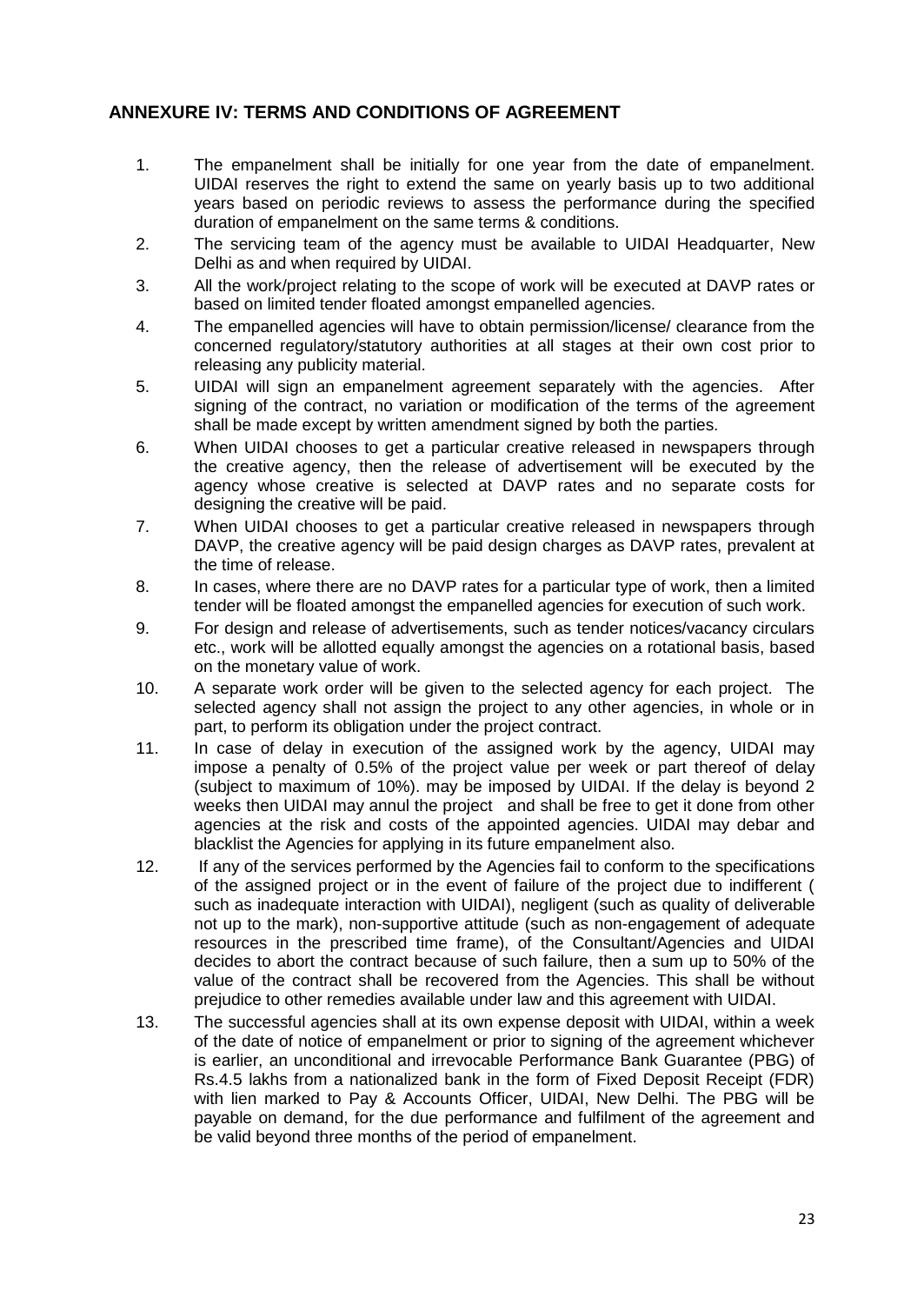#### **ANNEXURE IV: TERMS AND CONDITIONS OF AGREEMENT**

- 1. The empanelment shall be initially for one year from the date of empanelment. UIDAI reserves the right to extend the same on yearly basis up to two additional years based on periodic reviews to assess the performance during the specified duration of empanelment on the same terms & conditions.
- 2. The servicing team of the agency must be available to UIDAI Headquarter, New Delhi as and when required by UIDAI.
- 3. All the work/project relating to the scope of work will be executed at DAVP rates or based on limited tender floated amongst empanelled agencies.
- 4. The empanelled agencies will have to obtain permission/license/ clearance from the concerned regulatory/statutory authorities at all stages at their own cost prior to releasing any publicity material.
- 5. UIDAI will sign an empanelment agreement separately with the agencies. After signing of the contract, no variation or modification of the terms of the agreement shall be made except by written amendment signed by both the parties.
- 6. When UIDAI chooses to get a particular creative released in newspapers through the creative agency, then the release of advertisement will be executed by the agency whose creative is selected at DAVP rates and no separate costs for designing the creative will be paid.
- 7. When UIDAI chooses to get a particular creative released in newspapers through DAVP, the creative agency will be paid design charges as DAVP rates, prevalent at the time of release.
- 8. In cases, where there are no DAVP rates for a particular type of work, then a limited tender will be floated amongst the empanelled agencies for execution of such work.
- 9. For design and release of advertisements, such as tender notices/vacancy circulars etc., work will be allotted equally amongst the agencies on a rotational basis, based on the monetary value of work.
- 10. A separate work order will be given to the selected agency for each project. The selected agency shall not assign the project to any other agencies, in whole or in part, to perform its obligation under the project contract.
- 11. In case of delay in execution of the assigned work by the agency, UIDAI may impose a penalty of 0.5% of the project value per week or part thereof of delay (subject to maximum of 10%). may be imposed by UIDAI. If the delay is beyond 2 weeks then UIDAI may annul the project and shall be free to get it done from other agencies at the risk and costs of the appointed agencies. UIDAI may debar and blacklist the Agencies for applying in its future empanelment also.
- 12. If any of the services performed by the Agencies fail to conform to the specifications of the assigned project or in the event of failure of the project due to indifferent ( such as inadequate interaction with UIDAI), negligent (such as quality of deliverable not up to the mark), non-supportive attitude (such as non-engagement of adequate resources in the prescribed time frame), of the Consultant/Agencies and UIDAI decides to abort the contract because of such failure, then a sum up to 50% of the value of the contract shall be recovered from the Agencies. This shall be without prejudice to other remedies available under law and this agreement with UIDAI.
- 13. The successful agencies shall at its own expense deposit with UIDAI, within a week of the date of notice of empanelment or prior to signing of the agreement whichever is earlier, an unconditional and irrevocable Performance Bank Guarantee (PBG) of Rs.4.5 lakhs from a nationalized bank in the form of Fixed Deposit Receipt (FDR) with lien marked to Pay & Accounts Officer, UIDAI, New Delhi. The PBG will be payable on demand, for the due performance and fulfilment of the agreement and be valid beyond three months of the period of empanelment.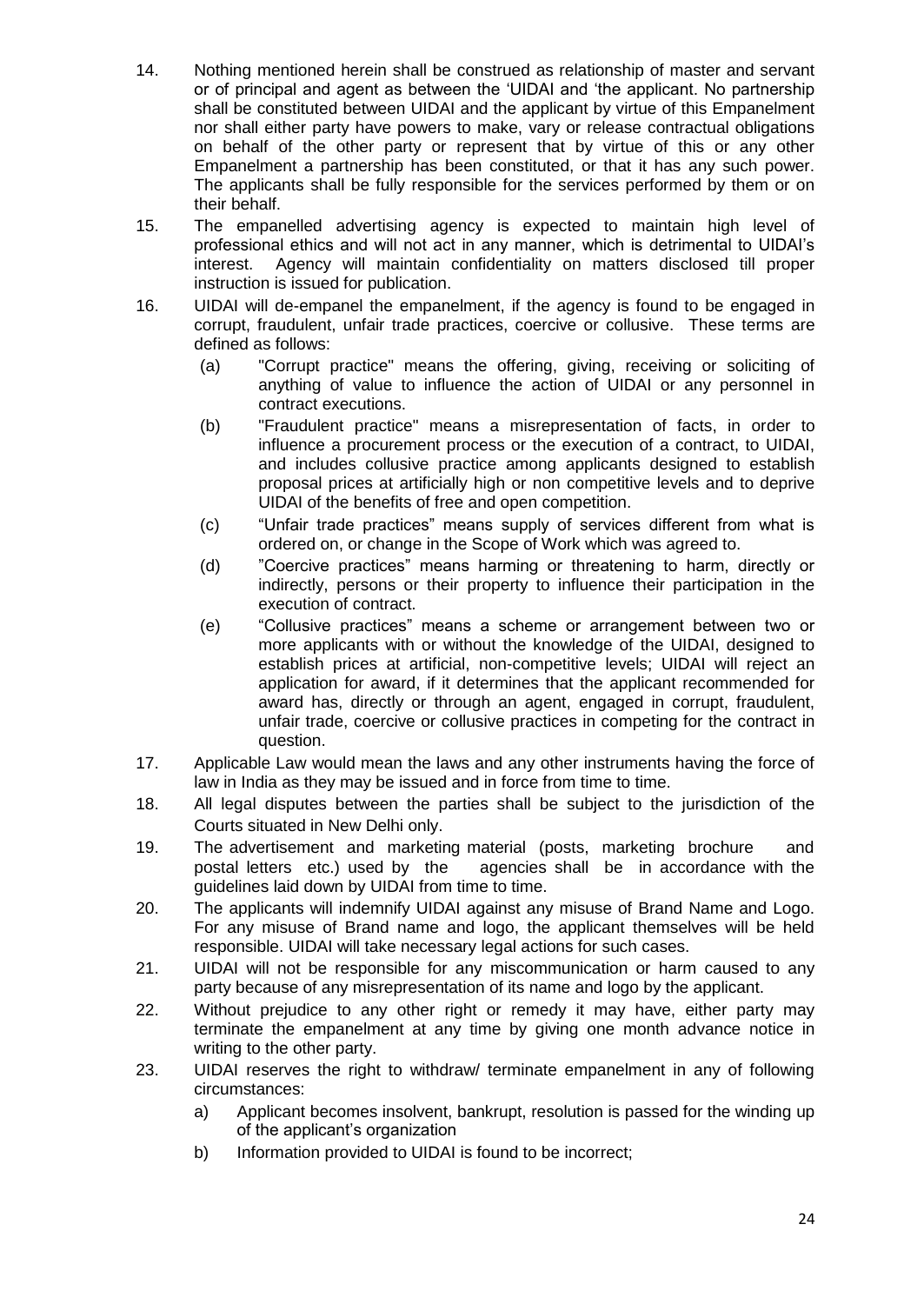- 14. Nothing mentioned herein shall be construed as relationship of master and servant or of principal and agent as between the "UIDAI and "the applicant. No partnership shall be constituted between UIDAI and the applicant by virtue of this Empanelment nor shall either party have powers to make, vary or release contractual obligations on behalf of the other party or represent that by virtue of this or any other Empanelment a partnership has been constituted, or that it has any such power. The applicants shall be fully responsible for the services performed by them or on their behalf.
- 15. The empanelled advertising agency is expected to maintain high level of professional ethics and will not act in any manner, which is detrimental to UIDAI"s interest. Agency will maintain confidentiality on matters disclosed till proper instruction is issued for publication.
- 16. UIDAI will de-empanel the empanelment, if the agency is found to be engaged in corrupt, fraudulent, unfair trade practices, coercive or collusive. These terms are defined as follows:
	- (a) "Corrupt practice" means the offering, giving, receiving or soliciting of anything of value to influence the action of UIDAI or any personnel in contract executions.
	- (b) "Fraudulent practice" means a misrepresentation of facts, in order to influence a procurement process or the execution of a contract, to UIDAI, and includes collusive practice among applicants designed to establish proposal prices at artificially high or non competitive levels and to deprive UIDAI of the benefits of free and open competition.
	- (c) "Unfair trade practices" means supply of services different from what is ordered on, or change in the Scope of Work which was agreed to.
	- (d) "Coercive practices" means harming or threatening to harm, directly or indirectly, persons or their property to influence their participation in the execution of contract.
	- (e) "Collusive practices" means a scheme or arrangement between two or more applicants with or without the knowledge of the UIDAI, designed to establish prices at artificial, non-competitive levels; UIDAI will reject an application for award, if it determines that the applicant recommended for award has, directly or through an agent, engaged in corrupt, fraudulent, unfair trade, coercive or collusive practices in competing for the contract in question.
- 17. Applicable Law would mean the laws and any other instruments having the force of law in India as they may be issued and in force from time to time.
- 18. All legal disputes between the parties shall be subject to the jurisdiction of the Courts situated in New Delhi only.
- 19. The advertisement and marketing material (posts, marketing brochure and postal letters etc.) used by the agencies shall be in accordance with the guidelines laid down by UIDAI from time to time.
- 20. The applicants will indemnify UIDAI against any misuse of Brand Name and Logo. For any misuse of Brand name and logo, the applicant themselves will be held responsible. UIDAI will take necessary legal actions for such cases.
- 21. UIDAI will not be responsible for any miscommunication or harm caused to any party because of any misrepresentation of its name and logo by the applicant.
- 22. Without prejudice to any other right or remedy it may have, either party may terminate the empanelment at any time by giving one month advance notice in writing to the other party.
- 23. UIDAI reserves the right to withdraw/ terminate empanelment in any of following circumstances:
	- a) Applicant becomes insolvent, bankrupt, resolution is passed for the winding up of the applicant"s organization
	- b) Information provided to UIDAI is found to be incorrect;